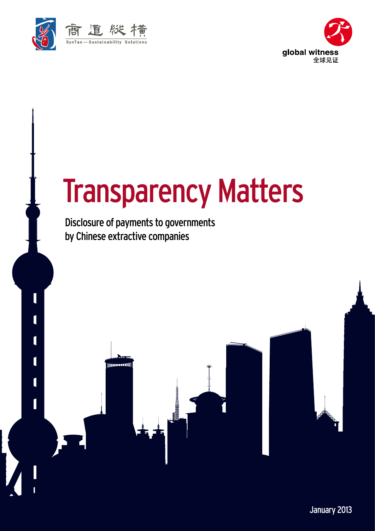

I

 $\overline{\mathfrak{l}}$ 

 $\overline{\mathbf{I}}$ 

 $\overline{\mathbf{I}}$ 

П

 $\mathsf I$ 



# Transparency Matters

Disclosure of payments to governments by Chinese extractive companies

**INDEPENDENT** 

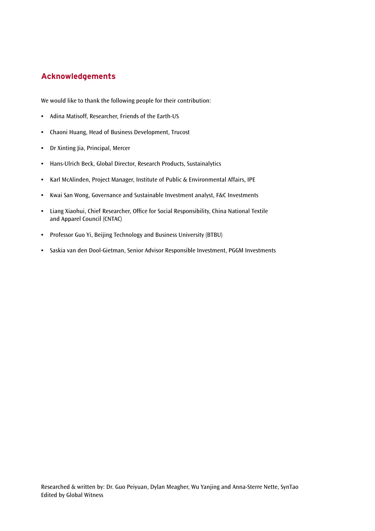# **Acknowledgements**

We would like to thank the following people for their contribution:

- **•** Adina Matisoff, Researcher, Friends of the Earth-US
- **•** Chaoni Huang, Head of Business Development, Trucost
- **•** Dr Xinting Jia, Principal, Mercer
- **•** Hans-Ulrich Beck, Global Director, Research Products, Sustainalytics
- **•** Karl McAlinden, Project Manager, Institute of Public & Environmental Affairs, IPE
- **•** Kwai San Wong, Governance and Sustainable Investment analyst, F&C Investments
- **•** Liang Xiaohui, Chief Researcher, Office for Social Responsibility, China National Textile and Apparel Council (CNTAC)
- **•** Professor Guo Yi, Beijing Technology and Business University (BTBU)
- **•** Saskia van den Dool-Gietman, Senior Advisor Responsible Investment, PGGM Investments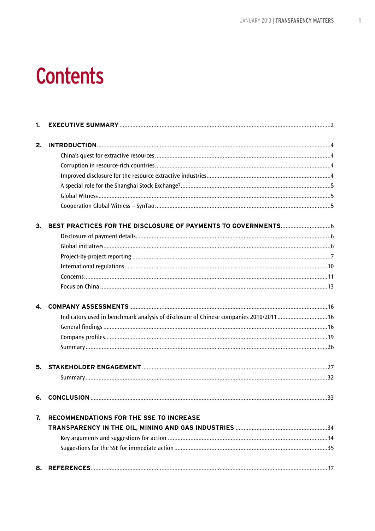# **Contents**

| 1. |                                                                                      |  |
|----|--------------------------------------------------------------------------------------|--|
| 2. |                                                                                      |  |
|    |                                                                                      |  |
|    |                                                                                      |  |
|    |                                                                                      |  |
|    |                                                                                      |  |
|    |                                                                                      |  |
|    |                                                                                      |  |
| 3. |                                                                                      |  |
|    |                                                                                      |  |
|    |                                                                                      |  |
|    |                                                                                      |  |
|    |                                                                                      |  |
|    |                                                                                      |  |
|    |                                                                                      |  |
| 4. |                                                                                      |  |
|    | Indicators used in benchmark analysis of disclosure of Chinese companies 2010/201116 |  |
|    |                                                                                      |  |
|    |                                                                                      |  |
|    |                                                                                      |  |
| 5. |                                                                                      |  |
|    |                                                                                      |  |
| 6. |                                                                                      |  |
| 7. | RECOMMENDATIONS FOR THE SSE TO INCREASE                                              |  |
|    |                                                                                      |  |
|    |                                                                                      |  |
|    |                                                                                      |  |
| 8. |                                                                                      |  |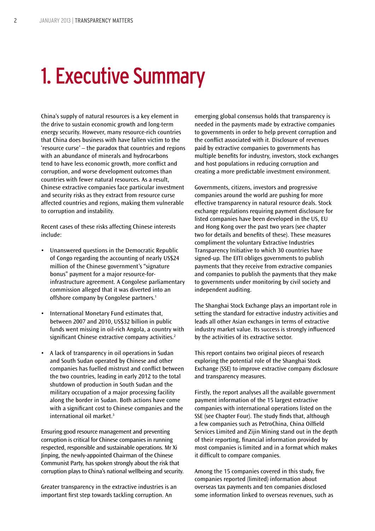# 1. Executive Summary

China's supply of natural resources is a key element in the drive to sustain economic growth and long-term energy security. However, many resource-rich countries that China does business with have fallen victim to the 'resource curse' – the paradox that countries and regions with an abundance of minerals and hydrocarbons tend to have less economic growth, more conflict and corruption, and worse development outcomes than countries with fewer natural resources. As a result, Chinese extractive companies face particular investment and security risks as they extract from resource curse affected countries and regions, making them vulnerable to corruption and instability.

Recent cases of these risks affecting Chinese interests include:

- • Unanswered questions in the Democratic Republic of Congo regarding the accounting of nearly US\$24 million of the Chinese government's "signature bonus" payment for a major resource-forinfrastructure agreement. A Congolese parliamentary commission alleged that it was diverted into an offshore company by Congolese partners.<sup>1</sup>
- International Monetary Fund estimates that, between 2007 and 2010, US\$32 billion in public funds went missing in oil-rich Angola, a country with significant Chinese extractive company activities.<sup>2</sup>
- • A lack of transparency in oil operations in Sudan and South Sudan operated by Chinese and other companies has fuelled mistrust and conflict between the two countries, leading in early 2012 to the total shutdown of production in South Sudan and the military occupation of a major processing facility along the border in Sudan. Both actions have come with a significant cost to Chinese companies and the international oil market.3

Ensuring good resource management and preventing corruption is critical for Chinese companies in running respected, responsible and sustainable operations. Mr Xi Jinping, the newly-appointed Chairman of the Chinese Communist Party, has spoken strongly about the risk that corruption plays to China's national wellbeing and security.

Greater transparency in the extractive industries is an important first step towards tackling corruption. An

emerging global consensus holds that transparency is needed in the payments made by extractive companies to governments in order to help prevent corruption and the conflict associated with it. Disclosure of revenues paid by extractive companies to governments has multiple benefits for industry, investors, stock exchanges and host populations in reducing corruption and creating a more predictable investment environment.

Governments, citizens, investors and progressive companies around the world are pushing for more effective transparency in natural resource deals. Stock exchange regulations requiring payment disclosure for listed companies have been developed in the US, EU and Hong Kong over the past two years (see chapter two for details and benefits of these). These measures compliment the voluntary Extractive Industries Transparency Initiative to which 30 countries have signed-up. The EITI obliges governments to publish payments that they receive from extractive companies and companies to publish the payments that they make to governments under monitoring by civil society and independent auditing.

The Shanghai Stock Exchange plays an important role in setting the standard for extractive industry activities and leads all other Asian exchanges in terms of extractive industry market value. Its success is strongly influenced by the activities of its extractive sector.

This report contains two original pieces of research exploring the potential role of the Shanghai Stock Exchange (SSE) to improve extractive company disclosure and transparency measures.

Firstly, the report analyses all the available government payment information of the 15 largest extractive companies with international operations listed on the SSE (see Chapter Four). The study finds that, although a few companies such as PetroChina, China Oilfield Services Limited and Zijin Mining stand out in the depth of their reporting, financial information provided by most companies is limited and in a format which makes it difficult to compare companies.

Among the 15 companies covered in this study, five companies reported (limited) information about overseas tax payments and ten companies disclosed some information linked to overseas revenues, such as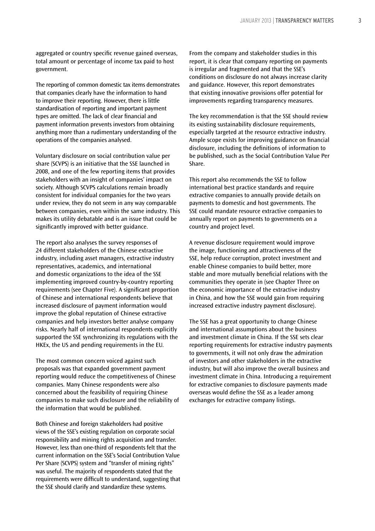aggregated or country specific revenue gained overseas, total amount or percentage of income tax paid to host government.

The reporting of common domestic tax items demonstrates that companies clearly have the information to hand to improve their reporting. However, there is little standardisation of reporting and important payment types are omitted. The lack of clear financial and payment information prevents investors from obtaining anything more than a rudimentary understanding of the operations of the companies analysed.

Voluntary disclosure on social contribution value per share (SCVPS) is an initiative that the SSE launched in 2008, and one of the few reporting items that provides stakeholders with an insight of companies' impact on society. Although SCVPS calculations remain broadly consistent for individual companies for the two years under review, they do not seem in any way comparable between companies, even within the same industry. This makes its utility debatable and is an issue that could be significantly improved with better guidance.

The report also analyses the survey responses of 24 different stakeholders of the Chinese extractive industry, including asset managers, extractive industry representatives, academics, and international and domestic organizations to the idea of the SSE implementing improved country-by-country reporting requirements (see Chapter Five). A significant proportion of Chinese and international respondents believe that increased disclosure of payment information would improve the global reputation of Chinese extractive companies and help investors better analyse company risks. Nearly half of international respondents explicitly supported the SSE synchronizing its regulations with the HKEx, the US and pending requirements in the EU.

The most common concern voiced against such proposals was that expanded government payment reporting would reduce the competitiveness of Chinese companies. Many Chinese respondents were also concerned about the feasibility of requiring Chinese companies to make such disclosure and the reliability of the information that would be published.

Both Chinese and foreign stakeholders had positive views of the SSE's existing regulation on corporate social responsibility and mining rights acquisition and transfer. However, less than one-third of respondents felt that the current information on the SSE's Social Contribution Value Per Share (SCVPS) system and "transfer of mining rights" was useful. The majority of respondents stated that the requirements were difficult to understand, suggesting that the SSE should clarify and standardize these systems.

From the company and stakeholder studies in this report, it is clear that company reporting on payments is irregular and fragmented and that the SSE's conditions on disclosure do not always increase clarity and guidance. However, this report demonstrates that existing innovative provisions offer potential for improvements regarding transparency measures.

The key recommendation is that the SSE should review its existing sustainability disclosure requirements, especially targeted at the resource extractive industry. Ample scope exists for improving guidance on financial disclosure, including the definitions of information to be published, such as the Social Contribution Value Per Share.

This report also recommends the SSE to follow international best practice standards and require extractive companies to annually provide details on payments to domestic and host governments. The SSE could mandate resource extractive companies to annually report on payments to governments on a country and project level.

A revenue disclosure requirement would improve the image, functioning and attractiveness of the SSE, help reduce corruption, protect investment and enable Chinese companies to build better, more stable and more mutually beneficial relations with the communities they operate in (see Chapter Three on the economic importance of the extractive industry in China, and how the SSE would gain from requiring increased extractive industry payment disclosure).

The SSE has a great opportunity to change Chinese and international assumptions about the business and investment climate in China. If the SSE sets clear reporting requirements for extractive industry payments to governments, it will not only draw the admiration of investors and other stakeholders in the extractive industry, but will also improve the overall business and investment climate in China. Introducing a requirement for extractive companies to disclosure payments made overseas would define the SSE as a leader among exchanges for extractive company listings.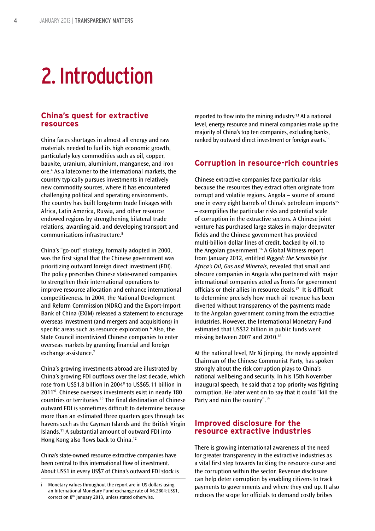# 2. Introduction

# **China's quest for extractive resources**

China faces shortages in almost all energy and raw materials needed to fuel its high economic growth, particularly key commodities such as oil, copper, bauxite, uranium, aluminium, manganese, and iron ore.4 As a latecomer to the international markets, the country typically pursues investments in relatively new commodity sources, where it has encountered challenging political and operating environments. The country has built long-term trade linkages with Africa, Latin America, Russia, and other resource endowed regions by strengthening bilateral trade relations, awarding aid, and developing transport and communications infrastructure.5

China's "go-out" strategy, formally adopted in 2000, was the first signal that the Chinese government was prioritizing outward foreign direct investment (FDI). The policy prescribes Chinese state-owned companies to strengthen their international operations to improve resource allocation and enhance international competitiveness. In 2004, the National Development and Reform Commission (NDRC) and the Export-Import Bank of China (EXIM) released a statement to encourage overseas investment (and mergers and acquisitions) in specific areas such as resource exploration.6 Also, the State Council incentivized Chinese companies to enter overseas markets by granting financial and foreign exchange assistance.<sup>7</sup>

China's growing investments abroad are illustrated by China's growing FDI outflows over the last decade, which rose from US\$1.8 billion in 20048 to US\$65.11 billion in 20119i. Chinese overseas investments exist in nearly 180 countries or territories.10 The final destination of Chinese outward FDI is sometimes difficult to determine because more than an estimated three quarters goes through tax havens such as the Cayman Islands and the British Virgin Islands.11 A substantial amount of outward FDI into Hong Kong also flows back to China.12

China's state-owned resource extractive companies have been central to this international flow of investment. About US\$1 in every US\$7 of China's outward FDI stock is

reported to flow into the mining industry.13 At a national level, energy resource and mineral companies make up the majority of China's top ten companies, excluding banks, ranked by outward direct investment or foreign assets.<sup>14</sup>

### **Corruption in resource-rich countries**

Chinese extractive companies face particular risks because the resources they extract often originate from corrupt and volatile regions. Angola – source of around one in every eight barrels of China's petroleum imports<sup>15</sup> – exemplifies the particular risks and potential scale of corruption in the extractive sectors. A Chinese joint venture has purchased large stakes in major deepwater fields and the Chinese government has provided multi-billion dollar lines of credit, backed by oil, to the Angolan government.16 A Global Witness report from January 2012, entitled *Rigged: the Scramble for Africa's Oil, Gas and Minerals*, revealed that small and obscure companies in Angola who partnered with major international companies acted as fronts for government officials or their allies in resource deals.17 It is difficult to determine precisely how much oil revenue has been diverted without transparency of the payments made to the Angolan government coming from the extractive industries. However, the International Monetary Fund estimated that US\$32 billion in public funds went missing between 2007 and 2010.18

At the national level, Mr Xi Jinping, the newly appointed Chairman of the Chinese Communist Party, has spoken strongly about the risk corruption plays to China's national wellbeing and security. In his 15th November inaugural speech, he said that a top priority was fighting corruption. He later went on to say that it could "kill the Party and ruin the country".19

# **Improved disclosure for the resource extractive industries**

There is growing international awareness of the need for greater transparency in the extractive industries as a vital first step towards tackling the resource curse and the corruption within the sector. Revenue disclosure can help deter corruption by enabling citizens to track payments to governments and where they end up. It also reduces the scope for officials to demand costly bribes

i Monetary values throughout the report are in US dollars using an International Monetary Fund exchange rate of ¥6.2804:US\$1, correct on 8th January 2013, unless stated otherwise.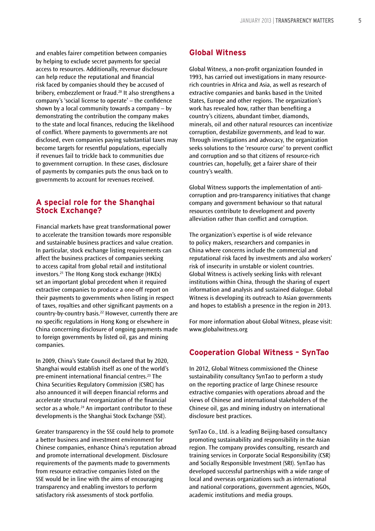and enables fairer competition between companies by helping to exclude secret payments for special access to resources. Additionally, revenue disclosure can help reduce the reputational and financial risk faced by companies should they be accused of bribery, embezzlement or fraud.20 It also strengthens a company's 'social license to operate' – the confidence shown by a local community towards a company – by demonstrating the contribution the company makes to the state and local finances, reducing the likelihood of conflict. Where payments to governments are not disclosed, even companies paying substantial taxes may become targets for resentful populations, especially if revenues fail to trickle back to communities due to government corruption. In these cases, disclosure of payments by companies puts the onus back on to governments to account for revenues received.

# **A special role for the Shanghai Stock Exchange?**

Financial markets have great transformational power to accelerate the transition towards more responsible and sustainable business practices and value creation. In particular, stock exchange listing requirements can affect the business practices of companies seeking to access capital from global retail and institutional investors.21 The Hong Kong stock exchange (HKEx) set an important global precedent when it required extractive companies to produce a one-off report on their payments to governments when listing in respect of taxes, royalties and other significant payments on a country-by-country basis.<sup>22</sup> However, currently there are no specific regulations in Hong Kong or elsewhere in China concerning disclosure of ongoing payments made to foreign governments by listed oil, gas and mining companies.

In 2009, China's State Council declared that by 2020, Shanghai would establish itself as one of the world's pre-eminent international financial centres.23 The China Securities Regulatory Commission (CSRC) has also announced it will deepen financial reforms and accelerate structural reorganization of the financial sector as a whole.<sup>24</sup> An important contributor to these developments is the Shanghai Stock Exchange (SSE).

Greater transparency in the SSE could help to promote a better business and investment environment for Chinese companies, enhance China's reputation abroad and promote international development. Disclosure requirements of the payments made to governments from resource extractive companies listed on the SSE would be in line with the aims of encouraging transparency and enabling investors to perform satisfactory risk assessments of stock portfolio.

### **Global Witness**

Global Witness, a non-profit organization founded in 1993, has carried out investigations in many resourcerich countries in Africa and Asia, as well as research of extractive companies and banks based in the United States, Europe and other regions. The organization's work has revealed how, rather than benefiting a country's citizens, abundant timber, diamonds, minerals, oil and other natural resources can incentivize corruption, destabilize governments, and lead to war. Through investigations and advocacy, the organization seeks solutions to the 'resource curse' to prevent conflict and corruption and so that citizens of resource-rich countries can, hopefully, get a fairer share of their country's wealth.

Global Witness supports the implementation of anticorruption and pro-transparency initiatives that change company and government behaviour so that natural resources contribute to development and poverty alleviation rather than conflict and corruption.

The organization's expertise is of wide relevance to policy makers, researchers and companies in China where concerns include the commercial and reputational risk faced by investments and also workers' risk of insecurity in unstable or violent countries. Global Witness is actively seeking links with relevant institutions within China, through the sharing of expert information and analysis and sustained dialogue. Global Witness is developing its outreach to Asian governments and hopes to establish a presence in the region in 2013.

For more information about Global Witness, please visit: www.globalwitness.org

# **Cooperation Global Witness – SynTao**

In 2012, Global Witness commissioned the Chinese sustainability consultancy SynTao to perform a study on the reporting practice of large Chinese resource extractive companies with operations abroad and the views of Chinese and international stakeholders of the Chinese oil, gas and mining industry on international disclosure best practices.

SynTao Co., Ltd. is a leading Beijing-based consultancy promoting sustainability and responsibility in the Asian region. The company provides consulting, research and training services in Corporate Social Responsibility (CSR) and Socially Responsible Investment (SRI). SynTao has developed successful partnerships with a wide range of local and overseas organizations such as international and national corporations, government agencies, NGOs, academic institutions and media groups.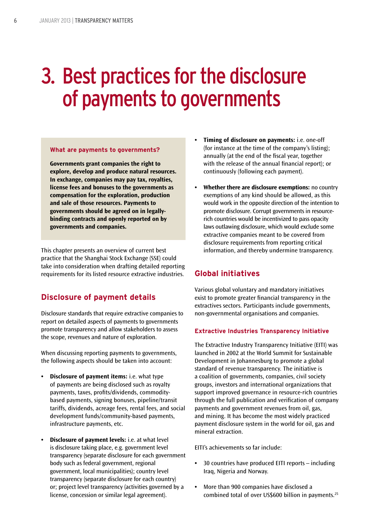# 3. Best practices for the disclosure of payments to governments

#### **What are payments to governments?**

**Governments grant companies the right to explore, develop and produce natural resources. In exchange, companies may pay tax, royalties, license fees and bonuses to the governments as compensation for the exploration, production and sale of those resources. Payments to governments should be agreed on in legallybinding contracts and openly reported on by governments and companies.**

This chapter presents an overview of current best practice that the Shanghai Stock Exchange (SSE) could take into consideration when drafting detailed reporting requirements for its listed resource extractive industries.

# **Disclosure of payment details**

Disclosure standards that require extractive companies to report on detailed aspects of payments to governments promote transparency and allow stakeholders to assess the scope, revenues and nature of exploration.

When discussing reporting payments to governments, the following aspects should be taken into account:

- **• Disclosure of payment items:** i.e. what type of payments are being disclosed such as royalty payments, taxes, profits/dividends, commoditybased payments, signing bonuses, pipeline/transit tariffs, dividends, acreage fees, rental fees, and social development funds/community-based payments, infrastructure payments, etc.
- **• Disclosure of payment levels:** i.e. at what level is disclosure taking place, e.g. government level transparency (separate disclosure for each government body such as federal government, regional government, local municipalities); country level transparency (separate disclosure for each country) or; project level transparency (activities governed by a license, concession or similar legal agreement).
- **Timing of disclosure on payments:** i.e. one-off (for instance at the time of the company's listing); annually (at the end of the fiscal year, together with the release of the annual financial report); or continuously (following each payment).
- **Whether there are disclosure exemptions:** no country exemptions of any kind should be allowed, as this would work in the opposite direction of the intention to promote disclosure. Corrupt governments in resourcerich countries would be incentivized to pass opacity laws outlawing disclosure, which would exclude some extractive companies meant to be covered from disclosure requirements from reporting critical information, and thereby undermine transparency.

# **Global initiatives**

Various global voluntary and mandatory initiatives exist to promote greater financial transparency in the extractives sectors. Participants include governments, non-governmental organisations and companies.

#### **Extractive Industries Transparency Initiative**

The Extractive Industry Transparency Initiative (EITI) was launched in 2002 at the World Summit for Sustainable Development in Johannesburg to promote a global standard of revenue transparency. The initiative is a coalition of governments, companies, civil society groups, investors and international organizations that support improved governance in resource-rich countries through the full publication and verification of company payments and government revenues from oil, gas, and mining. It has become the most widely practiced payment disclosure system in the world for oil, gas and mineral extraction.

EITI's achievements so far include:

- **•** 30 countries have produced EITI reports including Iraq, Nigeria and Norway.
- **•** More than 900 companies have disclosed a combined total of over US\$600 billion in payments.25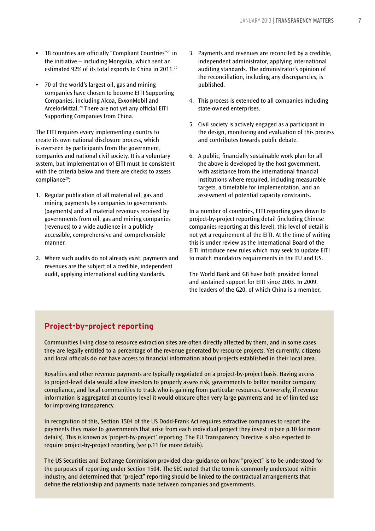- **•** 18 countries are officially "Compliant Countries"26 in the initiative – including Mongolia, which sent an estimated 92% of its total exports to China in 2011.27
- **•** 70 of the world's largest oil, gas and mining companies have chosen to become EITI Supporting Companies, including Alcoa, ExxonMobil and ArcelorMittal.28 There are not yet any official EITI Supporting Companies from China.

The EITI requires every implementing country to create its own national disclosure process, which is overseen by participants from the government, companies and national civil society. It is a voluntary system, but implementation of EITI must be consistent with the criteria below and there are checks to assess compliance<sup>29</sup>:

- 1. Regular publication of all material oil, gas and mining payments by companies to governments (payments) and all material revenues received by governments from oil, gas and mining companies (revenues) to a wide audience in a publicly accessible, comprehensive and comprehensible manner.
- 2. Where such audits do not already exist, payments and revenues are the subject of a credible, independent audit, applying international auditing standards.
- 3. Payments and revenues are reconciled by a credible, independent administrator, applying international auditing standards. The administrator's opinion of the reconciliation, including any discrepancies, is published.
- 4. This process is extended to all companies including state-owned enterprises.
- 5. Civil society is actively engaged as a participant in the design, monitoring and evaluation of this process and contributes towards public debate.
- 6. A public, financially sustainable work plan for all the above is developed by the host government, with assistance from the international financial institutions where required, including measurable targets, a timetable for implementation, and an assessment of potential capacity constraints.

In a number of countries, EITI reporting goes down to project-by-project reporting detail (including Chinese companies reporting at this level), this level of detail is not yet a requirement of the EITI. At the time of writing this is under review as the International Board of the EITI introduce new rules which may seek to update EITI to match mandatory requirements in the EU and US.

The World Bank and G8 have both provided formal and sustained support for EITI since 2003. In 2009, the leaders of the G20, of which China is a member,

# **Project-by-project reporting**

Communities living close to resource extraction sites are often directly affected by them, and in some cases they are legally entitled to a percentage of the revenue generated by resource projects. Yet currently, citizens and local officials do not have access to financial information about projects established in their local area.

Royalties and other revenue payments are typically negotiated on a project-by-project basis. Having access to project-level data would allow investors to properly assess risk, governments to better monitor company compliance, and local communities to track who is gaining from particular resources. Conversely, if revenue information is aggregated at country level it would obscure often very large payments and be of limited use for improving transparency.

In recognition of this, Section 1504 of the US Dodd-Frank Act requires extractive companies to report the payments they make to governments that arise from each individual project they invest in (see p.10 for more details). This is known as 'project-by-project' reporting. The EU Transparency Directive is also expected to require project-by-project reporting (see p.11 for more details).

The US Securities and Exchange Commission provided clear guidance on how "project" is to be understood for the purposes of reporting under Section 1504. The SEC noted that the term is commonly understood within industry, and determined that "project" reporting should be linked to the contractual arrangements that define the relationship and payments made between companies and governments.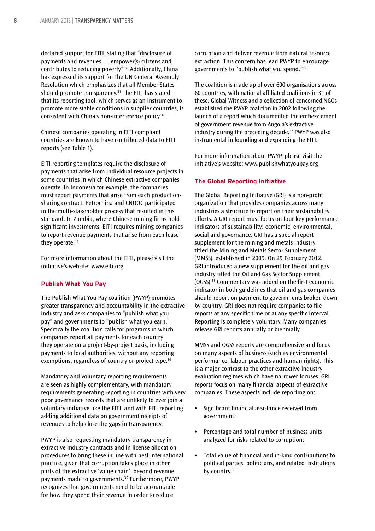declared support for EITI, stating that "disclosure of payments and revenues … empower(s) citizens and contributes to reducing poverty".30 Additionally, China has expressed its support for the UN General Assembly Resolution which emphasizes that all Member States should promote transparency.<sup>31</sup> The EITI has stated that its reporting tool, which serves as an instrument to promote more stable conditions in supplier countries, is consistent with China's non-interference policy.32

Chinese companies operating in EITI compliant countries are known to have contributed data to EITI reports (see Table 1).

EITI reporting templates require the disclosure of payments that arise from individual resource projects in some countries in which Chinese extractive companies operate. In Indonesia for example, the companies must report payments that arise from each productionsharing contract. Petrochina and CNOOC participated in the multi-stakeholder process that resulted in this standard. In Zambia, where Chinese mining firms hold significant investments, EITI requires mining companies to report revenue payments that arise from each lease they operate.<sup>33</sup>

For more information about the EITI, please visit the initiative's website: www.eiti.org

#### **Publish What You Pay**

The Publish What You Pay coalition (PWYP) promotes greater transparency and accountability in the extractive industry and asks companies to "publish what you pay" and governments to "publish what you earn." Specifically the coalition calls for programs in which companies report all payments for each country they operate on a project-by-project basis, including payments to local authorities, without any reporting exemptions, regardless of country or project type.<sup>34</sup>

Mandatory and voluntary reporting requirements are seen as highly complementary, with mandatory requirements generating reporting in countries with very poor governance records that are unlikely to ever join a voluntary initiative like the EITI, and with EITI reporting adding additional data on government receipts of revenues to help close the gaps in transparency.

PWYP is also requesting mandatory transparency in extractive industry contracts and in license allocation procedures to bring these in line with best international practice, given that corruption takes place in other parts of the extractive 'value chain', beyond revenue payments made to governments.<sup>35</sup> Furthermore, PWYP recognizes that governments need to be accountable for how they spend their revenue in order to reduce

corruption and deliver revenue from natural resource extraction. This concern has lead PWYP to encourage governments to "publish what you spend."36

The coalition is made up of over 600 organisations across 60 countries, with national affiliated coalitions in 31 of these. Global Witness and a collection of concerned NGOs established the PWYP coalition in 2002 following the launch of a report which documented the embezzlement of government revenue from Angola's extractive industry during the preceding decade.<sup>37</sup> PWYP was also instrumental in founding and expanding the EITI.

For more information about PWYP, please visit the initiative's website: www.publishwhatyoupay.org

#### **The Global Reporting Initiative**

The Global Reporting Initiative (GRI) is a non-profit organization that provides companies across many industries a structure to report on their sustainability efforts. A GRI report must focus on four key performance indicators of sustainability: economic, environmental, social and governance. GRI has a special report supplement for the mining and metals industry titled the Mining and Metals Sector Supplement (MMSS), established in 2005. On 29 February 2012, GRI introduced a new supplement for the oil and gas industry titled the Oil and Gas Sector Supplement (OGSS).38 Commentary was added on the first economic indicator in both guidelines that oil and gas companies should report on payment to governments broken down by country. GRI does not require companies to file reports at any specific time or at any specific interval. Reporting is completely voluntary. Many companies release GRI reports annually or biennially.

MMSS and OGSS reports are comprehensive and focus on many aspects of business (such as environmental performance, labour practices and human rights). This is a major contrast to the other extractive industry evaluation regimes which have narrower focuses. GRI reports focus on many financial aspects of extractive companies. These aspects include reporting on:

- **•** Significant financial assistance received from government;
- **•** Percentage and total number of business units analyzed for risks related to corruption;
- **•** Total value of financial and in-kind contributions to political parties, politicians, and related institutions by country.<sup>39</sup>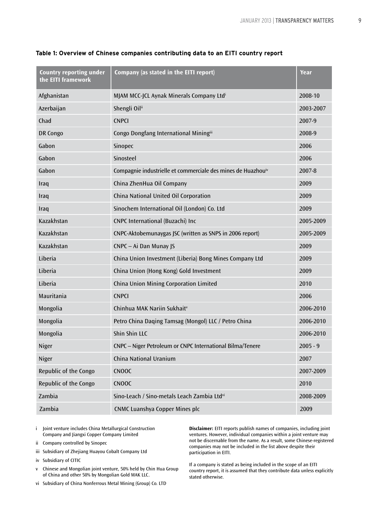| <b>Country reporting under</b><br>the EITI framework | Company (as stated in the EITI report)                                   | Year       |
|------------------------------------------------------|--------------------------------------------------------------------------|------------|
| Afghanistan                                          | MJAM MCC-JCL Aynak Minerals Company Ltdi                                 | 2008-10    |
| Azerbaijan                                           | Shengli Oilii                                                            | 2003-2007  |
| Chad                                                 | <b>CNPCI</b>                                                             | 2007-9     |
| DR Congo                                             | Congo Dongfang International Miningiii                                   | 2008-9     |
| Gabon                                                | Sinopec                                                                  | 2006       |
| Gabon                                                | Sinosteel                                                                | 2006       |
| Gabon                                                | Compagnie industrielle et commerciale des mines de Huazhou <sup>iv</sup> | 2007-8     |
| Iraq                                                 | China ZhenHua Oil Company                                                | 2009       |
| Iraq                                                 | China National United Oil Corporation                                    | 2009       |
| Iraq                                                 | Sinochem International Oil (London) Co. Ltd                              | 2009       |
| Kazakhstan                                           | CNPC International (Buzachi) Inc                                         | 2005-2009  |
| Kazakhstan                                           | CNPC-Aktobemunaygas JSC (written as SNPS in 2006 report)                 | 2005-2009  |
| Kazakhstan                                           | CNPC - Ai Dan Munay JS                                                   | 2009       |
| Liberia                                              | China Union Investment (Liberia) Bong Mines Company Ltd                  | 2009       |
| Liberia                                              | China Union (Hong Kong) Gold Investment                                  | 2009       |
| Liberia                                              | China Union Mining Corporation Limited                                   | 2010       |
| Mauritania                                           | <b>CNPCI</b>                                                             | 2006       |
| Mongolia                                             | Chinhua MAK Nariin Sukhait <sup>v</sup>                                  | 2006-2010  |
| Mongolia                                             | Petro China Daqing Tamsag (Mongol) LLC / Petro China                     | 2006-2010  |
| Mongolia                                             | Shin Shin LLC                                                            | 2006-2010  |
| Niger                                                | CNPC - Niger Petroleum or CNPC International Bilma/Tenere                | $2005 - 9$ |
| Niger                                                | China National Uranium                                                   | 2007       |
| Republic of the Congo                                | <b>CNOOC</b>                                                             | 2007-2009  |
| Republic of the Congo                                | <b>CNOOC</b>                                                             | 2010       |
| Zambia                                               | Sino-Leach / Sino-metals Leach Zambia Ltdvi                              | 2008-2009  |
| Zambia                                               | <b>CNMC Luanshya Copper Mines plc</b>                                    | 2009       |

#### **Table 1: Overview of Chinese companies contributing data to an EITI country report**

- i Joint venture includes China Metallurgical Construction Company and Jiangxi Copper Company Limited
- ii Company controlled by Sinopec
- iii Subsidiary of Zhejiang Huayou Cobalt Company Ltd
- iv Subsidiary of CITIC
- v Chinese and Mongolian joint venture, 50% held by Chin Hua Group of China and other 50% by Mongolian Gold MAK LLC.
- vi Subsidiary of China Nonferrous Metal Mining (Group) Co. LTD

**Disclaimer:** EITI reports publish names of companies, including joint ventures. However, individual companies within a joint venture may not be discernable from the name. As a result, some Chinese-registered companies may not be included in the list above despite their participation in EITI.

If a company is stated as being included in the scope of an EITI country report, it is assumed that they contribute data unless explicitly stated otherwise.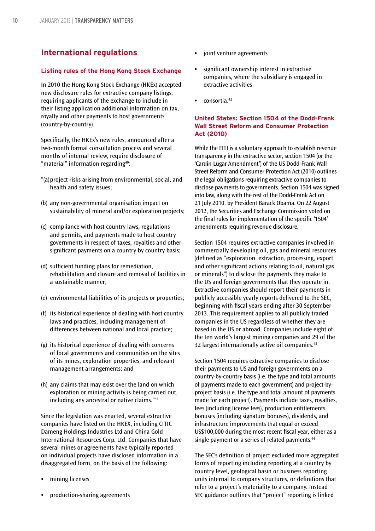# **International regulations**

#### **Listing rules of the Hong Kong Stock Exchange**

In 2010 the Hong Kong Stock Exchange (HKEx) accepted new disclosure rules for extractive company listings, requiring applicants of the exchange to include in their listing application additional information on tax, royalty and other payments to host governments (country-by-country).

Specifically, the HKEx's new rules, announced after a two-month formal consultation process and several months of internal review, require disclosure of "material" information regarding<sup>40</sup>:

- "(a)project risks arising from environmental, social, and health and safety issues;
- (b) any non-governmental organisation impact on sustainability of mineral and/or exploration projects;
- (c) compliance with host country laws, regulations and permits, and payments made to host country governments in respect of taxes, royalties and other significant payments on a country by country basis;
- (d) sufficient funding plans for remediation, rehabilitation and closure and removal of facilities in a sustainable manner;
- (e) environmental liabilities of its projects or properties;
- (f) its historical experience of dealing with host country laws and practices, including management of differences between national and local practice;
- (g) its historical experience of dealing with concerns of local governments and communities on the sites of its mines, exploration properties, and relevant management arrangements; and
- (h) any claims that may exist over the land on which exploration or mining activity is being carried out, including any ancestral or native claims."41

Since the legislation was enacted, several extractive companies have listed on the HKEX, including CITIC Dameng Holdings Industries Ltd and China Gold International Resources Corp. Ltd. Companies that have several mines or agreements have typically reported on individual projects have disclosed information in a disaggregated form, on the basis of the following:

- **•** mining licenses
- **•** production-sharing agreements
- **•** joint venture agreements
- **•** significant ownership interest in extractive companies, where the subsidiary is engaged in extractive activities
- **•** consortia.42

#### **United States: Section 1504 of the Dodd-Frank Wall Street Reform and Consumer Protection Act (2010)**

While the EITI is a voluntary approach to establish revenue transparency in the extractive sector, section 1504 (or the 'Cardin-Lugar Amendment') of the US Dodd-Frank Wall Street Reform and Consumer Protection Act (2010) outlines the legal obligations requiring extractive companies to disclose payments to governments. Section 1504 was signed into law, along with the rest of the Dodd-Frank Act on 21 July 2010, by President Barack Obama. On 22 August 2012, the Securities and Exchange Commission voted on the final rules for implementation of the specific '1504' amendments requiring revenue disclosure.

Section 1504 requires extractive companies involved in commercially developing oil, gas and mineral resources (defined as "exploration, extraction, processing, export and other significant actions relating to oil, natural gas or minerals") to disclose the payments they make to the US and foreign governments that they operate in. Extractive companies should report their payments in publicly accessible yearly reports delivered to the SEC, beginning with fiscal years ending after 30 September 2013. This requirement applies to all publicly traded companies in the US regardless of whether they are based in the US or abroad. Companies include eight of the ten world's largest mining companies and 29 of the 32 largest internationally active oil companies.<sup>43</sup>

Section 1504 requires extractive companies to disclose their payments to US and foreign governments on a country-by-country basis (i.e. the type and total amounts of payments made to each government) and project-byproject basis (i.e. the type and total amount of payments made for each project). Payments include taxes, royalties, fees (including license fees), production entitlements, bonuses (including signature bonuses), dividends, and infrastructure improvements that equal or exceed US\$100,000 during the most recent fiscal year, either as a single payment or a series of related payments.<sup>44</sup>

The SEC's definition of project excluded more aggregated forms of reporting including reporting at a country by country level, geological basin or business reporting units internal to company structures, or definitions that refer to a project's materiality to a company. Instead SEC guidance outlines that "project" reporting is linked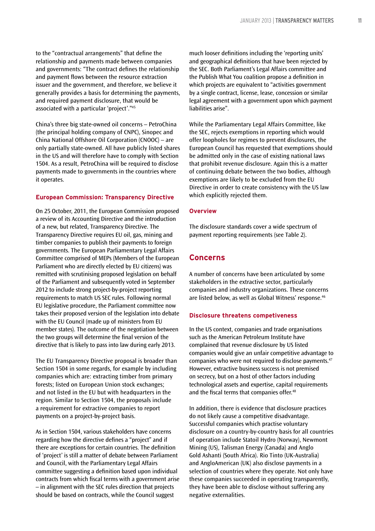to the "contractual arrangements" that define the relationship and payments made between companies and governments: "The contract defines the relationship and payment flows between the resource extraction issuer and the government, and therefore, we believe it generally provides a basis for determining the payments, and required payment disclosure, that would be associated with a particular 'project'."45

China's three big state-owned oil concerns – PetroChina (the principal holding company of CNPC), Sinopec and China National Offshore Oil Corporation (CNOOC) – are only partially state-owned. All have publicly listed shares in the US and will therefore have to comply with Section 1504. As a result, PetroChina will be required to disclose payments made to governments in the countries where it operates.

#### **European Commission: Transparency Directive**

On 25 October, 2011, the European Commission proposed a review of its Accounting Directive and the introduction of a new, but related, Transparency Directive. The Transparency Directive requires EU oil, gas, mining and timber companies to publish their payments to foreign governments. The European Parliamentary Legal Affairs Committee comprised of MEPs (Members of the European Parliament who are directly elected by EU citizens) was remitted with scrutinising proposed legislation on behalf of the Parliament and subsequently voted in September 2012 to include strong project-by-project reporting requirements to match US SEC rules. Following normal EU legislative procedure, the Parliament committee now takes their proposed version of the legislation into debate with the EU Council (made up of ministers from EU member states). The outcome of the negotiation between the two groups will determine the final version of the directive that is likely to pass into law during early 2013.

The EU Transparency Directive proposal is broader than Section 1504 in some regards, for example by including companies which are: extracting timber from primary forests; listed on European Union stock exchanges; and not listed in the EU but with headquarters in the region. Similar to Section 1504, the proposals include a requirement for extractive companies to report payments on a project-by-project basis.

As in Section 1504, various stakeholders have concerns regarding how the directive defines a "project" and if there are exceptions for certain countries. The definition of 'project' is still a matter of debate between Parliament and Council, with the Parliamentary Legal Affairs committee suggesting a definition based upon individual contracts from which fiscal terms with a government arise – in alignment with the SEC rules direction that projects should be based on contracts, while the Council suggest

much looser definitions including the 'reporting units' and geographical definitions that have been rejected by the SEC. Both Parliament's Legal Affairs committee and the Publish What You coalition propose a definition in which projects are equivalent to "activities government by a single contract, license, lease, concession or similar legal agreement with a government upon which payment liabilities arise".

While the Parliamentary Legal Affairs Committee, like the SEC, rejects exemptions in reporting which would offer loopholes for regimes to prevent disclosures, the European Council has requested that exemptions should be admitted only in the case of existing national laws that prohibit revenue disclosure. Again this is a matter of continuing debate between the two bodies, although exemptions are likely to be excluded from the EU Directive in order to create consistency with the US law which explicitly rejected them.

#### **Overview**

The disclosure standards cover a wide spectrum of payment reporting requirements (see Table 2).

### **Concerns**

A number of concerns have been articulated by some stakeholders in the extractive sector, particularly companies and industry organizations. These concerns are listed below, as well as Global Witness' response.46

#### **Disclosure threatens competiveness**

In the US context, companies and trade organisations such as the American Petroleum Institute have complained that revenue disclosure by US listed companies would give an unfair competitive advantage to companies who were not required to disclose payments.47 However, extractive business success is not premised on secrecy, but on a host of other factors including technological assets and expertise, capital requirements and the fiscal terms that companies offer.<sup>48</sup>

In addition, there is evidence that disclosure practices do not likely cause a competitive disadvantage. Successful companies which practise voluntary disclosure on a country-by-country basis for all countries of operation include Statoil Hydro (Norway), Newmont Mining (US), Talisman Energy (Canada) and Anglo Gold Ashanti (South Africa). Rio Tinto (UK-Australia) and AngloAmerican (UK) also disclose payments in a selection of countries where they operate. Not only have these companies succeeded in operating transparently, they have been able to disclose without suffering any negative externalities.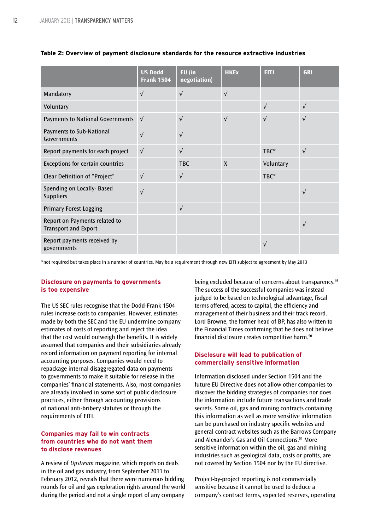|                                                              | <b>US Dodd</b><br><b>Frank 1504</b> | $EU$ (in<br>negotiation) | <b>HKEx</b>  | <b>EITI</b> | <b>GRI</b> |
|--------------------------------------------------------------|-------------------------------------|--------------------------|--------------|-------------|------------|
| Mandatory                                                    | $\sqrt{ }$                          | $\sqrt{ }$               | $\sqrt{ }$   |             |            |
| Voluntary                                                    |                                     |                          |              | $\sqrt{ }$  | $\sqrt{}$  |
| <b>Payments to National Governments</b>                      | $\sqrt{ }$                          | $\sqrt{ }$               | $\sqrt{ }$   | $\sqrt{ }$  | $\sqrt{}$  |
| Payments to Sub-National<br>Governments                      | $\sqrt{}$                           | $\sqrt{ }$               |              |             |            |
| Report payments for each project                             | $\sqrt{ }$                          | $\sqrt{ }$               |              | TBC*        | $\sqrt{ }$ |
| <b>Exceptions for certain countries</b>                      |                                     | <b>TBC</b>               | $\mathsf{X}$ | Voluntary   |            |
| Clear Definition of "Project"                                | $\sqrt{ }$                          | $\sqrt{ }$               |              | TBC*        |            |
| Spending on Locally- Based<br><b>Suppliers</b>               | $\sqrt{}$                           |                          |              |             | $\sqrt{}$  |
| <b>Primary Forest Logging</b>                                |                                     | $\sqrt{ }$               |              |             |            |
| Report on Payments related to<br><b>Transport and Export</b> |                                     |                          |              |             | $\sqrt{}$  |
| Report payments received by<br>governments                   |                                     |                          |              | $\sqrt{}$   |            |

#### **Table 2: Overview of payment disclosure standards for the resource extractive industries**

\*not required but takes place in a number of countries. May be a requirement through new EITI subject to agreement by May 2013

#### **Disclosure on payments to governments is too expensive**

The US SEC rules recognise that the Dodd-Frank 1504 rules increase costs to companies. However, estimates made by both the SEC and the EU undermine company estimates of costs of reporting and reject the idea that the cost would outweigh the benefits. It is widely assumed that companies and their subsidiaries already record information on payment reporting for internal accounting purposes. Companies would need to repackage internal disaggregated data on payments to governments to make it suitable for release in the companies' financial statements. Also, most companies are already involved in some sort of public disclosure practices, either through accounting provisions of national anti-bribery statutes or through the requirements of EITI.

#### **Companies may fail to win contracts from countries who do not want them to disclose revenues**

A review of *Upstream* magazine, which reports on deals in the oil and gas industry, from September 2011 to February 2012, reveals that there were numerous bidding rounds for oil and gas exploration rights around the world during the period and not a single report of any company

being excluded because of concerns about transparency.<sup>49</sup> The success of the successful companies was instead judged to be based on technological advantage, fiscal terms offered, access to capital, the efficiency and management of their business and their track record. Lord Browne, the former head of BP, has also written to the Financial Times confirming that he does not believe financial disclosure creates competitive harm.50

#### **Disclosure will lead to publication of commercially sensitive information**

Information disclosed under Section 1504 and the future EU Directive does not allow other companies to discover the bidding strategies of companies nor does the information include future transactions and trade secrets. Some oil, gas and mining contracts containing this information as well as more sensitive information can be purchased on industry specific websites and general contract websites such as the Barrows Company and Alexander's Gas and Oil Connections.<sup>51</sup> More sensitive information within the oil, gas and mining industries such as geological data, costs or profits, are not covered by Section 1504 nor by the EU directive.

Project-by-project reporting is not commercially sensitive because it cannot be used to deduce a company's contract terms, expected reserves, operating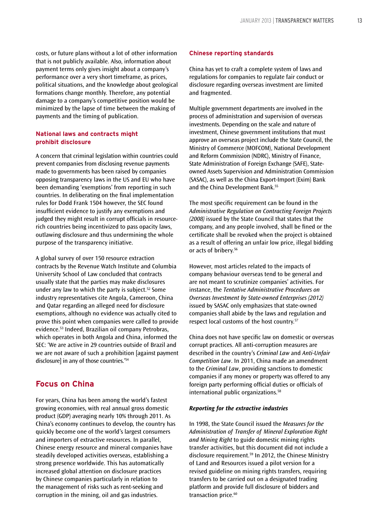costs, or future plans without a lot of other information that is not publicly available. Also, information about payment terms only gives insight about a company's performance over a very short timeframe, as prices, political situations, and the knowledge about geological formations change monthly. Therefore, any potential damage to a company's competitive position would be minimized by the lapse of time between the making of payments and the timing of publication.

#### **National laws and contracts might prohibit disclosure**

A concern that criminal legislation within countries could prevent companies from disclosing revenue payments made to governments has been raised by companies opposing transparency laws in the US and EU who have been demanding 'exemptions' from reporting in such countries. In deliberating on the final implementation rules for Dodd Frank 1504 however, the SEC found insufficient evidence to justify any exemptions and judged they might result in corrupt officials in resourcerich countries being incentivized to pass opacity laws, outlawing disclosure and thus undermining the whole purpose of the transparency initiative.

A global survey of over 150 resource extraction contracts by the Revenue Watch Institute and Columbia University School of Law concluded that contracts usually state that the parties may make disclosures under any law to which the party is subject.<sup>52</sup> Some industry representatives cite Angola, Cameroon, China and Qatar regarding an alleged need for disclosure exemptions, although no evidence was actually cited to prove this point when companies were called to provide evidence.53 Indeed, Brazilian oil company Petrobras, which operates in both Angola and China, informed the SEC: 'We are active in 29 countries outside of Brazil and we are not aware of such a prohibition [against payment disclosure] in any of those countries.'54

# **Focus on China**

For years, China has been among the world's fastest growing economies, with real annual gross domestic product (GDP) averaging nearly 10% through 2011. As China's economy continues to develop, the country has quickly become one of the world's largest consumers and importers of extractive resources. In parallel, Chinese energy resource and mineral companies have steadily developed activities overseas, establishing a strong presence worldwide. This has automatically increased global attention on disclosure practices by Chinese companies particularly in relation to the management of risks such as rent-seeking and corruption in the mining, oil and gas industries.

#### **Chinese reporting standards**

China has yet to craft a complete system of laws and regulations for companies to regulate fair conduct or disclosure regarding overseas investment are limited and fragmented.

Multiple government departments are involved in the process of administration and supervision of overseas investments. Depending on the scale and nature of investment, Chinese government institutions that must approve an overseas project include the State Council, the Ministry of Commerce (MOFCOM), National Development and Reform Commission (NDRC), Ministry of Finance, State Administration of Foreign Exchange (SAFE), Stateowned Assets Supervision and Administration Commission (SASAC), as well as the China Export-Import (Exim) Bank and the China Development Bank.<sup>55</sup>

The most specific requirement can be found in the *Administrative Regulation on Contracting Foreign Projects (2008)* issued by the State Council that states that the company, and any people involved, shall be fined or the certificate shall be revoked when the project is obtained as a result of offering an unfair low price, illegal bidding or acts of bribery.<sup>56</sup>

However, most articles related to the impacts of company behaviour overseas tend to be general and are not meant to scrutinize companies' activities. For instance, the *Tentative Administrative Procedures on Overseas Investment by State-owned Enterprises (2012)* issued by SASAC only emphasizes that state-owned companies shall abide by the laws and regulation and respect local customs of the host country.57

China does not have specific law on domestic or overseas corrupt practices. All anti-corruption measures are described in the country's *Criminal Law* and *Anti-Unfair Competition Law*. In 2011, China made an amendment to the *Criminal Law*, providing sanctions to domestic companies if any money or property was offered to any foreign party performing official duties or officials of international public organizations.58

#### *Reporting for the extractive industries*

In 1998, the State Council issued the *Measures for the Administration of Transfer of Mineral Exploration Right and Mining Right* to guide domestic mining rights transfer activities, but this document did not include a disclosure requirement.59 In 2012, the Chinese Ministry of Land and Resources issued a pilot version for a revised guideline on mining rights transfers, requiring transfers to be carried out on a designated trading platform and provide full disclosure of bidders and transaction price.<sup>60</sup>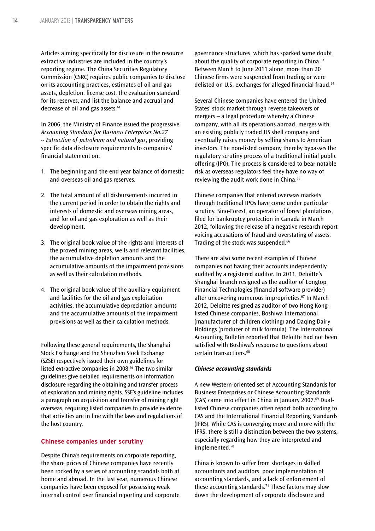Articles aiming specifically for disclosure in the resource extractive industries are included in the country's reporting regime. The China Securities Regulatory Commission (CSRC) requires public companies to disclose on its accounting practices, estimates of oil and gas assets, depletion, license cost, the evaluation standard for its reserves, and list the balance and accrual and decrease of oil and gas assets.<sup>61</sup>

In 2006, the Ministry of Finance issued the progressive *Accounting Standard for Business Enterprises No.27 -- Extraction of petroleum and natural gas*, providing specific data disclosure requirements to companies' financial statement on:

- 1. The beginning and the end year balance of domestic and overseas oil and gas reserves.
- 2. The total amount of all disbursements incurred in the current period in order to obtain the rights and interests of domestic and overseas mining areas, and for oil and gas exploration as well as their development.
- 3. The original book value of the rights and interests of the proved mining areas, wells and relevant facilities, the accumulative depletion amounts and the accumulative amounts of the impairment provisions as well as their calculation methods.
- 4. The original book value of the auxiliary equipment and facilities for the oil and gas exploitation activities, the accumulative depreciation amounts and the accumulative amounts of the impairment provisions as well as their calculation methods.

Following these general requirements, the Shanghai Stock Exchange and the Shenzhen Stock Exchange (SZSE) respectively issued their own guidelines for listed extractive companies in 2008. $62$  The two similar guidelines give detailed requirements on information disclosure regarding the obtaining and transfer process of exploration and mining rights. SSE's guideline includes a paragraph on acquisition and transfer of mining right overseas, requiring listed companies to provide evidence that activities are in line with the laws and regulations of the host country.

#### **Chinese companies under scrutiny**

Despite China's requirements on corporate reporting, the share prices of Chinese companies have recently been rocked by a series of accounting scandals both at home and abroad. In the last year, numerous Chinese companies have been exposed for possessing weak internal control over financial reporting and corporate

governance structures, which has sparked some doubt about the quality of corporate reporting in China.<sup>63</sup> Between March to June 2011 alone, more than 20 Chinese firms were suspended from trading or were delisted on U.S. exchanges for alleged financial fraud.<sup>64</sup>

Several Chinese companies have entered the United States' stock market through reverse takeovers or mergers – a legal procedure whereby a Chinese company, with all its operations abroad, merges with an existing publicly traded US shell company and eventually raises money by selling shares to American investors. The non-listed company thereby bypasses the regulatory scrutiny process of a traditional initial public offering (IPO). The process is considered to bear notable risk as overseas regulators feel they have no way of reviewing the audit work done in China.<sup>65</sup>

Chinese companies that entered overseas markets through traditional IPOs have come under particular scrutiny. Sino-Forest, an operator of forest plantations, filed for bankruptcy protection in Canada in March 2012, following the release of a negative research report voicing accusations of fraud and overstating of assets. Trading of the stock was suspended.<sup>66</sup>

There are also some recent examples of Chinese companies not having their accounts independently audited by a registered auditor. In 2011, Deloitte's Shanghai branch resigned as the auditor of Longtop Financial Technologies (financial software provider) after uncovering numerous improprieties.<sup>67</sup> In March 2012, Deloitte resigned as auditor of two Hong Konglisted Chinese companies, Boshiwa International (manufacturer of children clothing) and Daqing Dairy Holdings (producer of milk formula). The International Accounting Bulletin reported that Deloitte had not been satisfied with Boshiwa's response to questions about certain transactions.<sup>68</sup>

#### *Chinese accounting standards*

A new Western-oriented set of Accounting Standards for Business Enterprises or Chinese Accounting Standards (CAS) came into effect in China in January 2007.<sup>69</sup> Duallisted Chinese companies often report both according to CAS and the International Financial Reporting Standards (IFRS). While CAS is converging more and more with the IFRS, there is still a distinction between the two systems, especially regarding how they are interpreted and implemented.<sup>70</sup>

China is known to suffer from shortages in skilled accountants and auditors, poor implementation of accounting standards, and a lack of enforcement of these accounting standards.<sup>71</sup> These factors may slow down the development of corporate disclosure and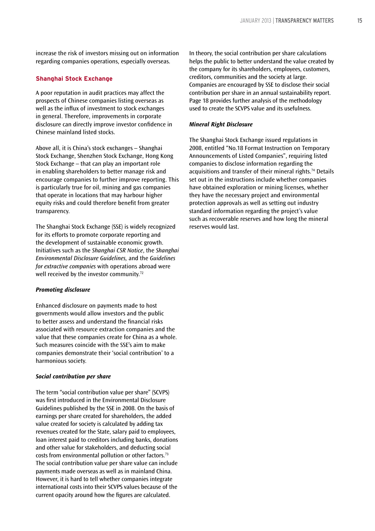increase the risk of investors missing out on information regarding companies operations, especially overseas.

#### **Shanghai Stock Exchange**

A poor reputation in audit practices may affect the prospects of Chinese companies listing overseas as well as the influx of investment to stock exchanges in general. Therefore, improvements in corporate disclosure can directly improve investor confidence in Chinese mainland listed stocks.

Above all, it is China's stock exchanges – Shanghai Stock Exchange, Shenzhen Stock Exchange, Hong Kong Stock Exchange – that can play an important role in enabling shareholders to better manage risk and encourage companies to further improve reporting. This is particularly true for oil, mining and gas companies that operate in locations that may harbour higher equity risks and could therefore benefit from greater transparency.

The Shanghai Stock Exchange (SSE) is widely recognized for its efforts to promote corporate reporting and the development of sustainable economic growth. Initiatives such as the *Shanghai CSR Notice*, the *Shanghai Environmental Disclosure Guidelines,* and the *Guidelines for extractive companies* with operations abroad were well received by the investor community.<sup>72</sup>

#### *Promoting disclosure*

Enhanced disclosure on payments made to host governments would allow investors and the public to better assess and understand the financial risks associated with resource extraction companies and the value that these companies create for China as a whole. Such measures coincide with the SSE's aim to make companies demonstrate their 'social contribution' to a harmonious society.

#### *Social contribution per share*

The term "social contribution value per share" (SCVPS) was first introduced in the Environmental Disclosure Guidelines published by the SSE in 2008. On the basis of earnings per share created for shareholders, the added value created for society is calculated by adding tax revenues created for the State, salary paid to employees, loan interest paid to creditors including banks, donations and other value for stakeholders, and deducting social costs from environmental pollution or other factors.73 The social contribution value per share value can include payments made overseas as well as in mainland China. However, it is hard to tell whether companies integrate international costs into their SCVPS values because of the current opacity around how the figures are calculated.

In theory, the social contribution per share calculations helps the public to better understand the value created by the company for its shareholders, employees, customers, creditors, communities and the society at large. Companies are encouraged by SSE to disclose their social contribution per share in an annual sustainability report. Page 18 provides further analysis of the methodology used to create the SCVPS value and its usefulness.

#### *Mineral Right Disclosure*

The Shanghai Stock Exchange issued regulations in 2008, entitled "No.18 Format Instruction on Temporary Announcements of Listed Companies", requiring listed companies to disclose information regarding the acquisitions and transfer of their mineral rights.74 Details set out in the instructions include whether companies have obtained exploration or mining licenses, whether they have the necessary project and environmental protection approvals as well as setting out industry standard information regarding the project's value such as recoverable reserves and how long the mineral reserves would last.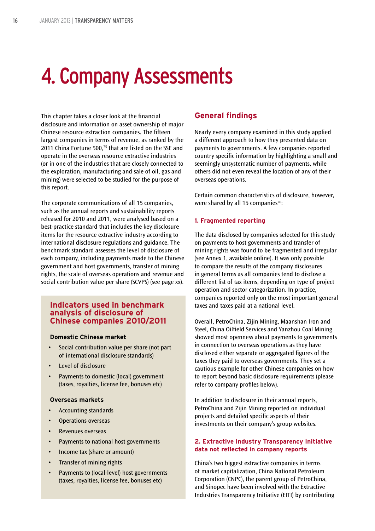# 4. Company Assessments

This chapter takes a closer look at the financial disclosure and information on asset ownership of major Chinese resource extraction companies. The fifteen largest companies in terms of revenue, as ranked by the 2011 China Fortune 500,<sup>75</sup> that are listed on the SSE and operate in the overseas resource extractive industries (or in one of the industries that are closely connected to the exploration, manufacturing and sale of oil, gas and mining) were selected to be studied for the purpose of this report.

The corporate communications of all 15 companies, such as the annual reports and sustainability reports released for 2010 and 2011, were analysed based on a best-practice standard that includes the key disclosure items for the resource extractive industry according to international disclosure regulations and guidance. The benchmark standard assesses the level of disclosure of each company, including payments made to the Chinese government and host governments, transfer of mining rights, the scale of overseas operations and revenue and social contribution value per share (SCVPS) (see page xx).

### **Indicators used in benchmark analysis of disclosure of Chinese companies 2010/2011**

#### **Domestic Chinese market**

- Social contribution value per share (not part of international disclosure standards)
- • Level of disclosure
- Payments to domestic (local) government (taxes, royalties, license fee, bonuses etc)

#### **Overseas markets**

- • Accounting standards
- • Operations overseas
- • Revenues overseas
- • Payments to national host governments
- Income tax (share or amount)
- **Transfer of mining rights**
- • Payments to (local-level) host governments (taxes, royalties, license fee, bonuses etc)

# **General findings**

Nearly every company examined in this study applied a different approach to how they presented data on payments to governments. A few companies reported country specific information by highlighting a small and seemingly unsystematic number of payments, while others did not even reveal the location of any of their overseas operations.

Certain common characteristics of disclosure, however, were shared by all 15 companies<sup>76</sup>:

#### **1. Fragmented reporting**

The data disclosed by companies selected for this study on payments to host governments and transfer of mining rights was found to be fragmented and irregular (see Annex 1, available online). It was only possible to compare the results of the company disclosures in general terms as all companies tend to disclose a different list of tax items, depending on type of project operation and sector categorization. In practice, companies reported only on the most important general taxes and taxes paid at a national level.

Overall, PetroChina, Zijin Mining, Maanshan Iron and Steel, China Oilfield Services and Yanzhou Coal Mining showed most openness about payments to governments in connection to overseas operations as they have disclosed either separate or aggregated figures of the taxes they paid to overseas governments. They set a cautious example for other Chinese companies on how to report beyond basic disclosure requirements (please refer to company profiles below).

In addition to disclosure in their annual reports, PetroChina and Zijin Mining reported on individual projects and detailed specific aspects of their investments on their company's group websites.

#### **2. Extractive Industry Transparency Initiative data not reflected in company reports**

China's two biggest extractive companies in terms of market capitalization, China National Petroleum Corporation (CNPC), the parent group of PetroChina, and Sinopec have been involved with the Extractive Industries Transparency Initiative (EITI) by contributing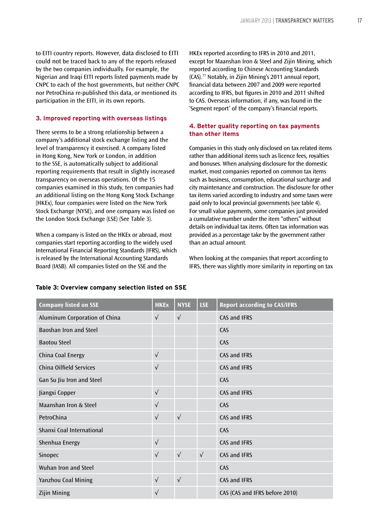to EITI country reports. However, data disclosed to EITI could not be traced back to any of the reports released by the two companies individually. For example, the Nigerian and Iraqi EITI reports listed payments made by CNPC to each of the host governments, but neither CNPC nor PetroChina re-published this data, or mentioned its participation in the EITI, in its own reports.

#### **3. Improved reporting with overseas listings**

There seems to be a strong relationship between a company's additional stock exchange listing and the level of transparency it exercised. A company listed in Hong Kong, New York or London, in addition to the SSE, is automatically subject to additional reporting requirements that result in slightly increased transparency on overseas operations. Of the 15 companies examined in this study, ten companies had an additional listing on the Hong Kong Stock Exchange (HKEx), four companies were listed on the New York Stock Exchange (NYSE), and one company was listed on the London Stock Exchange (LSE) (See Table 3).

When a company is listed on the HKEx or abroad, most companies start reporting according to the widely used International Financial Reporting Standards (IFRS), which is released by the International Accounting Standards Board (IASB). All companies listed on the SSE and the

HKEx reported according to IFRS in 2010 and 2011, except for Maanshan Iron & Steel and Zijin Mining, which reported according to Chinese Accounting Standards  $(CAS)$ .<sup>77</sup> Notably, in Zijin Mining's 2011 annual report, financial data between 2007 and 2009 were reported according to IFRS, but figures in 2010 and 2011 shifted to CAS. Overseas information, if any, was found in the 'Segment report' of the company's financial reports.

#### **4. Better quality reporting on tax payments than other items**

Companies in this study only disclosed on tax related items rather than additional items such as licence fees, royalties and bonuses. When analysing disclosure for the domestic market, most companies reported on common tax items such as business, consumption, educational surcharge and city maintenance and construction. The disclosure for other tax items varied according to industry and some taxes were paid only to local provincial governments (see table 4). For small value payments, some companies just provided a cumulative number under the item "others" without details on individual tax items. Often tax information was provided as a percentage take by the government rather than an actual amount.

When looking at the companies that report according to IFRS, there was slightly more similarity in reporting on tax

| <b>Company listed on SSE</b>   | <b>HKEx</b> | <b>NYSE</b> | <b>LSE</b> | <b>Report according to CAS/IFRS</b> |
|--------------------------------|-------------|-------------|------------|-------------------------------------|
| Aluminum Corporation of China  | $\sqrt{ }$  | $\sqrt{ }$  |            | CAS and IFRS                        |
| Baoshan Iron and Steel         |             |             |            | CAS                                 |
| <b>Baotou Steel</b>            |             |             |            | CAS                                 |
| China Coal Energy              | $\sqrt{ }$  |             |            | <b>CAS and IFRS</b>                 |
| <b>China Oilfield Services</b> | $\sqrt{ }$  |             |            | <b>CAS and IFRS</b>                 |
| Gan Su Jiu Iron and Steel      |             |             |            | CAS                                 |
| Jiangxi Copper                 | $\sqrt{ }$  |             |            | CAS and IFRS                        |
| Maanshan Iron & Steel          | $\sqrt{ }$  |             |            | CAS                                 |
| PetroChina                     | $\sqrt{}$   | $\sqrt{ }$  |            | CAS and IFRS                        |
| Shanxi Coal International      |             |             |            | CAS                                 |
| Shenhua Energy                 | $\sqrt{ }$  |             |            | CAS and IFRS                        |
| Sinopec                        | $\sqrt{ }$  | $\sqrt{ }$  | $\sqrt{ }$ | CAS and IFRS                        |
| Wuhan Iron and Steel           |             |             |            | CAS                                 |
| Yanzhou Coal Mining            | $\sqrt{ }$  | $\sqrt{ }$  |            | CAS and IFRS                        |
| <b>Zijin Mining</b>            | $\sqrt{}$   |             |            | CAS (CAS and IFRS before 2010)      |

#### **Table 3: Overview company selection listed on SSE**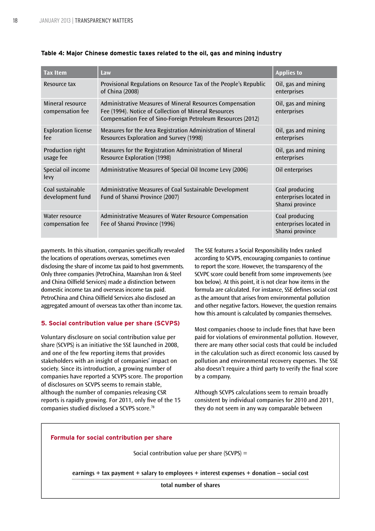| <b>Tax Item</b>                      | Law                                                                                                                                                                               | <b>Applies to</b>                                           |
|--------------------------------------|-----------------------------------------------------------------------------------------------------------------------------------------------------------------------------------|-------------------------------------------------------------|
| Resource tax                         | Provisional Regulations on Resource Tax of the People's Republic<br>of China (2008)                                                                                               | Oil, gas and mining<br>enterprises                          |
| Mineral resource<br>compensation fee | Administrative Measures of Mineral Resources Compensation<br>Fee (1994). Notice of Collection of Mineral Resources<br>Compensation Fee of Sino-Foreign Petroleum Resources (2012) | Oil, gas and mining<br>enterprises                          |
| <b>Exploration license</b><br>fee    | Measures for the Area Registration Administration of Mineral<br>Resources Exploration and Survey (1998)                                                                           | Oil, gas and mining<br>enterprises                          |
| Production right<br>usage fee        | Measures for the Registration Administration of Mineral<br><b>Resource Exploration (1998)</b>                                                                                     | Oil, gas and mining<br>enterprises                          |
| Special oil income<br>levy           | Administrative Measures of Special Oil Income Levy (2006)                                                                                                                         | Oil enterprises                                             |
| Coal sustainable<br>development fund | Administrative Measures of Coal Sustainable Development<br>Fund of Shanxi Province (2007)                                                                                         | Coal producing<br>enterprises located in<br>Shanxi province |
| Water resource<br>compensation fee   | Administrative Measures of Water Resource Compensation<br>Fee of Shanxi Province (1996)                                                                                           | Coal producing<br>enterprises located in<br>Shanxi province |

#### **Table 4: Major Chinese domestic taxes related to the oil, gas and mining industry**

payments. In this situation, companies specifically revealed the locations of operations overseas, sometimes even disclosing the share of income tax paid to host governments. Only three companies (PetroChina, Maanshan Iron & Steel and China Oilfield Services) made a distinction between domestic income tax and overseas income tax paid. PetroChina and China Oilfield Services also disclosed an aggregated amount of overseas tax other than income tax.

#### **5. Social contribution value per share (SCVPS)**

Voluntary disclosure on social contribution value per share (SCVPS) is an initiative the SSE launched in 2008, and one of the few reporting items that provides stakeholders with an insight of companies' impact on society. Since its introduction, a growing number of companies have reported a SCVPS score. The proportion of disclosures on SCVPS seems to remain stable, although the number of companies releasing CSR reports is rapidly growing. For 2011, only five of the 15 companies studied disclosed a SCVPS score.78

The SSE features a Social Responsibility Index ranked according to SCVPS, encouraging companies to continue to report the score. However, the transparency of the SCVPC score could benefit from some improvements (see box below). At this point, it is not clear how items in the formula are calculated. For instance, SSE defines social cost as the amount that arises from environmental pollution and other negative factors. However, the question remains how this amount is calculated by companies themselves.

Most companies choose to include fines that have been paid for violations of environmental pollution. However, there are many other social costs that could be included in the calculation such as direct economic loss caused by pollution and environmental recovery expenses. The SSE also doesn't require a third party to verify the final score by a company.

Although SCVPS calculations seem to remain broadly consistent by individual companies for 2010 and 2011, they do not seem in any way comparable between

#### **Formula for social contribution per share**

Social contribution value per share (SCVPS) =

**earnings + tax payment + salary to employees + interest expenses + donation – social cost**

**total number of shares**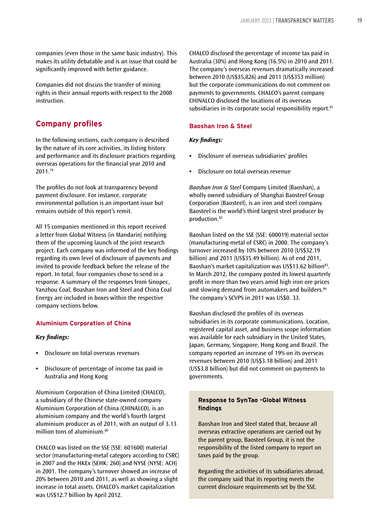companies (even those in the same basic industry). This makes its utility debatable and is an issue that could be significantly improved with better guidance.

Companies did not discuss the transfer of mining rights in their annual reports with respect to the 2008 instruction.

### **Company profiles**

In the following sections, each company is described by the nature of its core activities, its listing history and performance and its disclosure practices regarding overseas operations for the financial year 2010 and 2011.79

The profiles do not look at transparency beyond payment disclosure. For instance, corporate environmental pollution is an important issue but remains outside of this report's remit.

All 15 companies mentioned in this report received a letter from Global Witness (in Mandarin) notifying them of the upcoming launch of the joint research project. Each company was informed of the key findings regarding its own level of disclosure of payments and invited to provide feedback before the release of the report. In total, four companies chose to send in a response. A summary of the responses from Sinopec, Yanzhou Coal, Boashan Iron and Steel and China Coal Energy are included in boxes within the respective company sections below.

#### **Aluminium Corporation of China**

#### *Key findings:*

- **•** Disclosure on total overseas revenues
- **•** Disclosure of percentage of income tax paid in Australia and Hong Kong

Aluminium Corporation of China Limited (CHALCO), a subsidiary of the Chinese state-owned company Aluminium Corporation of China (CHINALCO), is an aluminium company and the world's fourth largest aluminium producer as of 2011, with an output of 3.13 million tons of aluminium.<sup>80</sup>

CHALCO was listed on the SSE (SSE: 601600) material sector (manufacturing-metal category according to CSRC) in 2007 and the HKEx (SEHK: 260) and NYSE (NYSE: ACH) in 2001. The company's turnover showed an increase of 20% between 2010 and 2011, as well as showing a slight increase in total assets. CHALCO's market capitalization was US\$12.7 billion by April 2012.

CHALCO disclosed the percentage of income tax paid in Australia (30%) and Hong Kong (16.5%) in 2010 and 2011. The company's overseas revenues dramatically increased between 2010 (US\$35,826) and 2011 (US\$353 million) but the corporate communications do not comment on payments to governments. CHALCO's parent company CHINALCO disclosed the locations of its overseas subsidiaries in its corporate social responsibility report.<sup>81</sup>

#### **Baoshan Iron & Steel**

#### *Key findings:*

- **•** Disclosure of overseas subsidiaries' profiles
- **•** Disclosure on total overseas revenue

*Baoshan Iron & Steel* Company Limited (Baoshan), a wholly owned subsidiary of Shanghai Baosteel Group Corporation (Baosteel), is an iron and steel company. Baosteel is the world's third largest steel producer by production.82

Baoshan listed on the SSE (SSE: 600019) material sector (manufacturing-metal of CSRC) in 2000. The company's turnover increased by 10% between 2010 (US\$32.19 billion) and 2011 (US\$35.49 billion). As of end 2011, Baoshan's market capitalization was US\$13.62 billion<sup>83</sup>. In March 2012, the company posted its lowest quarterly profit in more than two years amid high iron ore prices and slowing demand from automakers and builders.<sup>84</sup> The company's SCVPS in 2011 was US\$0. 33.

Baoshan disclosed the profiles of its overseas subsidiaries in its corporate communications. Location, registered capital asset, and business scope information was available for each subsidiary in the United States, Japan, Germany, Singapore, Hong Kong and Brazil. The company reported an increase of 19% on its overseas revenues between 2010 (US\$3.18 billion) and 2011 (US\$3.8 billion) but did not comment on payments to governments.

#### **Response to SynTao -Global Witness findings**

Baoshan Iron and Steel stated that, because all overseas extractive operations are carried out by the parent group, Baosteel Group, it is not the responsibility of the listed company to report on taxes paid by the group.

Regarding the activities of its subsidiaries abroad, the company said that its reporting meets the current disclosure requirements set by the SSE.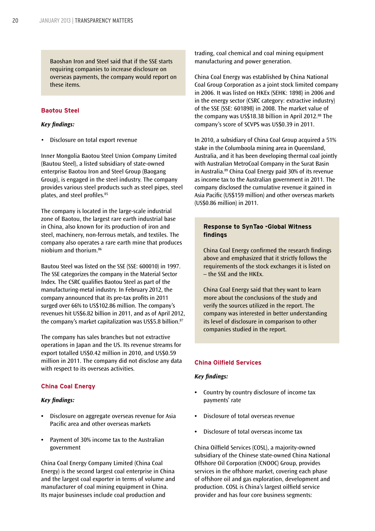Baoshan Iron and Steel said that if the SSE starts requiring companies to increase disclosure on overseas payments, the company would report on these items.

#### **Baotou Steel**

#### *Key findings:*

• Disclosure on total export revenue

Inner Mongolia Baotou Steel Union Company Limited (Bautou Steel), a listed subsidiary of state-owned enterprise Baotou Iron and Steel Group (Baogang Group), is engaged in the steel industry. The company provides various steel products such as steel pipes, steel plates, and steel profiles.<sup>85</sup>

The company is located in the large-scale industrial zone of Baotou, the largest rare earth industrial base in China, also known for its production of iron and steel, machinery, non-ferrous metals, and textiles. The company also operates a rare earth mine that produces niobium and thorium.86

Bautou Steel was listed on the SSE (SSE: 600010) in 1997. The SSE categorizes the company in the Material Sector Index. The CSRC qualifies Baotou Steel as part of the manufacturing-metal industry. In February 2012, the company announced that its pre-tax profits in 2011 surged over 66% to US\$102.86 million. The company's revenues hit US\$6.82 billion in 2011, and as of April 2012, the company's market capitalization was US\$5.8 billion.87

The company has sales branches but not extractive operations in Japan and the US. Its revenue streams for export totalled US\$0.42 million in 2010, and US\$0.59 million in 2011. The company did not disclose any data with respect to its overseas activities.

#### **China Coal Energy**

#### *Key findings:*

- **•** Disclosure on aggregate overseas revenue for Asia Pacific area and other overseas markets
- **•** Payment of 30% income tax to the Australian government

China Coal Energy Company Limited (China Coal Energy) is the second largest coal enterprise in China and the largest coal exporter in terms of volume and manufacturer of coal mining equipment in China. Its major businesses include coal production and

trading, coal chemical and coal mining equipment manufacturing and power generation.

China Coal Energy was established by China National Coal Group Corporation as a joint stock limited company in 2006. It was listed on HKEx (SEHK: 1898) in 2006 and in the energy sector (CSRC category: extractive industry) of the SSE (SSE: 601898) in 2008. The market value of the company was US\$18.38 billion in April 2012.<sup>88</sup> The company's score of SCVPS was US\$0.39 in 2011.

In 2010, a subsidiary of China Coal Group acquired a 51% stake in the Columboola mining area in Queensland, Australia, and it has been developing thermal coal jointly with Australian MetroCoal Company in the Surat Basin in Australia.<sup>89</sup> China Coal Energy paid 30% of its revenue as income tax to the Australian government in 2011. The company disclosed the cumulative revenue it gained in Asia Pacific (US\$159 million) and other overseas markets (US\$0.86 million) in 2011.

#### **Response to SynTao -Global Witness findings**

China Coal Energy confirmed the research findings above and emphasized that it strictly follows the requirements of the stock exchanges it is listed on – the SSE and the HKEx.

China Coal Energy said that they want to learn more about the conclusions of the study and verify the sources utilized in the report. The company was interested in better understanding its level of disclosure in comparison to other companies studied in the report.

#### **China Oilfield Services**

#### *Key findings:*

- **•** Country by country disclosure of income tax payments' rate
- **•** Disclosure of total overseas revenue
- **•** Disclosure of total overseas income tax

China Oilfield Services (COSL), a majority-owned subsidiary of the Chinese state-owned China National Offshore Oil Corporation (CNOOC) Group, provides services in the offshore market, covering each phase of offshore oil and gas exploration, development and production. COSL is China's largest oilfield service provider and has four core business segments: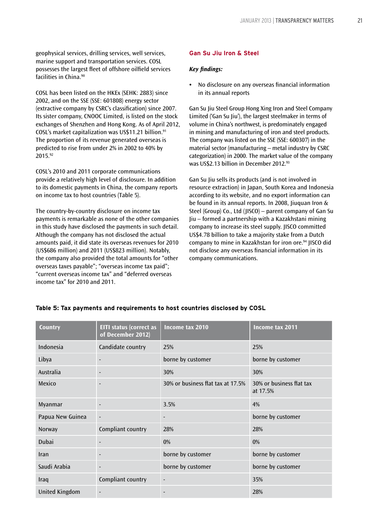geophysical services, drilling services, well services, marine support and transportation services. COSL possesses the largest fleet of offshore oilfield services facilities in China.<sup>90</sup>

COSL has been listed on the HKEx (SEHK: 2883) since 2002, and on the SSE (SSE: 601808) energy sector (extractive company by CSRC's classification) since 2007. Its sister company, CNOOC Limited, is listed on the stock exchanges of Shenzhen and Hong Kong. As of April 2012, COSL's market capitalization was US\$11.21 billion.<sup>91</sup> The proportion of its revenue generated overseas is predicted to rise from under 2% in 2002 to 40% by 2015.92

COSL's 2010 and 2011 corporate communications provide a relatively high level of disclosure. In addition to its domestic payments in China, the company reports on income tax to host countries (Table 5).

The country-by-country disclosure on income tax payments is remarkable as none of the other companies in this study have disclosed the payments in such detail. Although the company has not disclosed the actual amounts paid, it did state its overseas revenues for 2010 (US\$686 million) and 2011 (US\$823 million). Notably, the company also provided the total amounts for "other overseas taxes payable"; "overseas income tax paid"; "current overseas income tax" and "deferred overseas income tax" for 2010 and 2011.

#### **Gan Su Jiu Iron & Steel**

#### *Key findings:*

**•** No disclosure on any overseas financial information in its annual reports

Gan Su Jiu Steel Group Hong Xing Iron and Steel Company Limited ('Gan Su Jiu'), the largest steelmaker in terms of volume in China's northwest, is predominately engaged in mining and manufacturing of iron and steel products. The company was listed on the SSE (SSE: 600307) in the material sector (manufacturing – metal industry by CSRC categorization) in 2000. The market value of the company was US\$2.13 billion in December 2012.<sup>93</sup>

Gan Su Jiu sells its products (and is not involved in resource extraction) in Japan, South Korea and Indonesia according to its website, and no export information can be found in its annual reports. In 2008, Jiuquan Iron & Steel (Group) Co., Ltd (JISCO) – parent company of Gan Su Jiu – formed a partnership with a Kazakhstani mining company to increase its steel supply. JISCO committed US\$4.78 billion to take a majority stake from a Dutch company to mine in Kazakhstan for iron ore.<sup>94</sup> JISCO did not disclose any overseas financial information in its company communications.

| <b>Country</b>   | <b>EITI status (correct as</b><br>of December 2012) | Income tax 2010                   | Income tax 2011                      |
|------------------|-----------------------------------------------------|-----------------------------------|--------------------------------------|
| Indonesia        | Candidate country                                   | 25%                               | 25%                                  |
| Libya            |                                                     | borne by customer                 | borne by customer                    |
| Australia        | $\blacksquare$                                      | 30%                               | 30%                                  |
| Mexico           |                                                     | 30% or business flat tax at 17.5% | 30% or business flat tax<br>at 17.5% |
| Myanmar          |                                                     | 3.5%                              | 4%                                   |
| Papua New Guinea | $\blacksquare$                                      | $\overline{\phantom{a}}$          | borne by customer                    |
| Norway           | Compliant country                                   | 28%                               | 28%                                  |
| Dubai            | $\overline{\phantom{a}}$                            | 0%                                | 0%                                   |
| Iran             |                                                     | borne by customer                 | borne by customer                    |
| Saudi Arabia     | $\overline{\phantom{a}}$                            | borne by customer                 | borne by customer                    |
| Iraq             | Compliant country                                   | $\blacksquare$                    | 35%                                  |
| United Kingdom   | $\overline{\phantom{a}}$                            | $\overline{\phantom{a}}$          | 28%                                  |

#### **Table 5: Tax payments and requirements to host countries disclosed by COSL**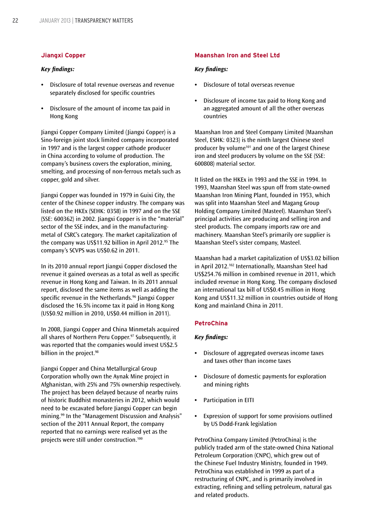#### **Jiangxi Copper**

#### *Key findings:*

- **•** Disclosure of total revenue overseas and revenue separately disclosed for specific countries
- **•** Disclosure of the amount of income tax paid in Hong Kong

Jiangxi Copper Company Limited (Jiangxi Copper) is a Sino-foreign joint stock limited company incorporated in 1997 and is the largest copper cathode producer in China according to volume of production. The company's business covers the exploration, mining, smelting, and processing of non-ferrous metals such as copper, gold and silver.

Jiangxi Copper was founded in 1979 in Guixi City, the center of the Chinese copper industry. The company was listed on the HKEx (SEHK: 0358) in 1997 and on the SSE (SSE: 600362) in 2002. Jiangxi Copper is in the "material" sector of the SSE index, and in the manufacturingmetal of CSRC's category. The market capitalization of the company was US\$11.92 billion in April 2012. $95$  The company's SCVPS was US\$0.62 in 2011.

In its 2010 annual report Jiangxi Copper disclosed the revenue it gained overseas as a total as well as specific revenue in Hong Kong and Taiwan. In its 2011 annual report, disclosed the same items as well as adding the specific revenue in the Netherlands.<sup>96</sup> Jiangxi Copper disclosed the 16.5% income tax it paid in Hong Kong (US\$0.92 million in 2010, US\$0.44 million in 2011).

In 2008, Jiangxi Copper and China Minmetals acquired all shares of Northern Peru Copper.<sup>97</sup> Subsequently, it was reported that the companies would invest US\$2.5 billion in the project.<sup>98</sup>

Jiangxi Copper and China Metallurgical Group Corporation wholly own the Aynak Mine project in Afghanistan, with 25% and 75% ownership respectively. The project has been delayed because of nearby ruins of historic Buddhist monasteries in 2012, which would need to be excavated before Jiangxi Copper can begin mining.<sup>99</sup> In the "Management Discussion and Analysis" section of the 2011 Annual Report, the company reported that no earnings were realised yet as the projects were still under construction.100

#### **Maanshan Iron and Steel Ltd**

#### *Key findings:*

- **•** Disclosure of total overseas revenue
- **•** Disclosure of income tax paid to Hong Kong and an aggregated amount of all the other overseas countries

Maanshan Iron and Steel Company Limited (Maanshan Steel, ESHK: 0323) is the ninth largest Chinese steel producer by volume<sup>101</sup> and one of the largest Chinese iron and steel producers by volume on the SSE (SSE: 600808) material sector.

It listed on the HKEx in 1993 and the SSE in 1994. In 1993, Maanshan Steel was spun off from state-owned Maanshan Iron Mining Plant, founded in 1953, which was split into Maanshan Steel and Magang Group Holding Company Limited (Masteel). Maanshan Steel's principal activities are producing and selling iron and steel products. The company imports raw ore and machinery. Maanshan Steel's primarily ore supplier is Maanshan Steel's sister company, Masteel.

Maanshan had a market capitalization of US\$3.02 billion in April 2012.<sup>102</sup> Internationally, Maanshan Steel had US\$254.76 million in combined revenue in 2011, which included revenue in Hong Kong. The company disclosed an international tax bill of US\$0.45 million in Hong Kong and US\$11.32 million in countries outside of Hong Kong and mainland China in 2011.

#### **PetroChina**

#### *Key findings:*

- **•** Disclosure of aggregated overseas income taxes and taxes other than income taxes
- **•** Disclosure of domestic payments for exploration and mining rights
- **•** Participation in EITI
- **•** Expression of support for some provisions outlined by US Dodd-Frank legislation

PetroChina Company Limited (PetroChina) is the publicly traded arm of the state-owned China National Petroleum Corporation (CNPC), which grew out of the Chinese Fuel Industry Ministry, founded in 1949. PetroChina was established in 1999 as part of a restructuring of CNPC, and is primarily involved in extracting, refining and selling petroleum, natural gas and related products.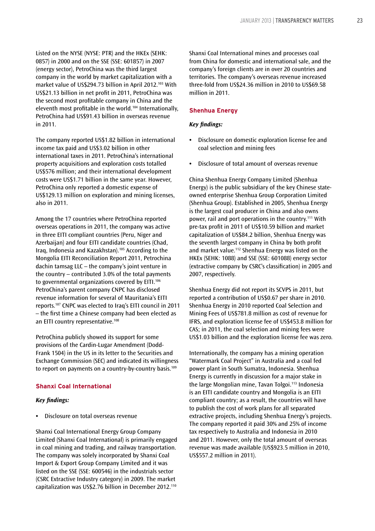Listed on the NYSE (NYSE: PTR) and the HKEx (SEHK: 0857) in 2000 and on the SSE (SSE: 601857) in 2007 (energy sector), PetroChina was the third largest company in the world by market capitalization with a market value of US\$294.73 billion in April 2012.103 With US\$21.13 billion in net profit in 2011, PetroChina was the second most profitable company in China and the eleventh most profitable in the world.104 Internationally, PetroChina had US\$91.43 billion in overseas revenue in 2011.

The company reported US\$1.82 billion in international income tax paid and US\$3.02 billion in other international taxes in 2011. PetroChina's international property acquisitions and exploration costs totalled US\$576 million; and their international development costs were US\$1.71 billion in the same year. However, PetroChina only reported a domestic expense of US\$129.13 million on exploration and mining licenses, also in 2011.

Among the 17 countries where PetroChina reported overseas operations in 2011, the company was active in three EITI compliant countries (Peru, Niger and Azerbaijan) and four EITI candidate countries (Chad, Iraq, Indonesia and Kazakhstan).105 According to the Mongolia EITI Reconciliation Report 2011, Petrochina dachin tamsag LLC – the company's joint venture in the country – contributed 3.0% of the total payments to governmental organizations covered by EITI.<sup>106</sup> PetroChina's parent company CNPC has disclosed revenue information for several of Mauritania's EITI reports.107 CNPC was elected to Iraq's EITI council in 2011 – the first time a Chinese company had been elected as an EITI country representative.<sup>108</sup>

PetroChina publicly showed its support for some provisions of the Cardin-Lugar Amendment (Dodd-Frank 1504) in the US in its letter to the Securities and Exchange Commission (SEC) and indicated its willingness to report on payments on a country-by-country basis.109

#### **Shanxi Coal International**

#### *Key findings:*

**•** Disclosure on total overseas revenue

Shanxi Coal International Energy Group Company Limited (Shanxi Coal International) is primarily engaged in coal mining and trading, and railway transportation. The company was solely incorporated by Shanxi Coal Import & Export Group Company Limited and it was listed on the SSE (SSE: 600546) in the industrials sector (CSRC Extractive Industry category) in 2009. The market capitalization was US\$2.76 billion in December 2012.110 Shanxi Coal International mines and processes coal from China for domestic and international sale, and the company's foreign clients are in over 20 countries and territories. The company's overseas revenue increased three-fold from US\$24.36 million in 2010 to US\$69.58 million in 2011.

#### **Shenhua Energy**

#### *Key findings:*

- **•** Disclosure on domestic exploration license fee and coal selection and mining fees
- **•** Disclosure of total amount of overseas revenue

China Shenhua Energy Company Limited (Shenhua Energy) is the public subsidiary of the key Chinese stateowned enterprise Shenhua Group Corporation Limited (Shenhua Group). Established in 2005, Shenhua Energy is the largest coal producer in China and also owns power, rail and port operations in the country.111 With pre-tax profit in 2011 of US\$10.59 billion and market capitalization of US\$84.2 billion, Shenhua Energy was the seventh largest company in China by both profit and market value.112 Shenhua Energy was listed on the HKEx (SEHK: 1088) and SSE (SSE: 601088) energy sector (extractive company by CSRC's classification) in 2005 and 2007, respectively.

Shenhua Energy did not report its SCVPS in 2011, but reported a contribution of US\$0.67 per share in 2010. Shenhua Energy in 2010 reported Coal Selection and Mining Fees of US\$781.8 million as cost of revenue for IFRS, and exploration license fee of US\$453.8 million for CAS; in 2011, the coal selection and mining fees were US\$1.03 billion and the exploration license fee was zero.

Internationally, the company has a mining operation "Watermark Coal Project" in Australia and a coal fed power plant in South Sumatra, Indonesia. Shenhua Energy is currently in discussion for a major stake in the large Mongolian mine, Tavan Tolgoi.113 Indonesia is an EITI candidate country and Mongolia is an EITI compliant country; as a result, the countries will have to publish the cost of work plans for all separated extractive projects, including Shenhua Energy's projects. The company reported it paid 30% and 25% of income tax respectively to Australia and Indonesia in 2010 and 2011. However, only the total amount of overseas revenue was made available (US\$923.5 million in 2010, US\$557.2 million in 2011).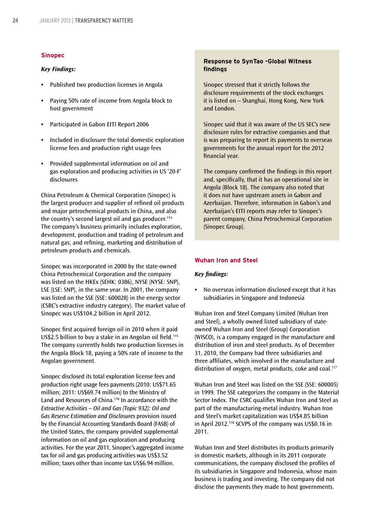#### **Sinopec**

#### *Key Findings:*

- **•** Published two production licenses in Angola
- **•** Paying 50% rate of income from Angola block to host government
- **•** Participated in Gabon EITI Report 2006
- **•** Included in disclosure the total domestic exploration license fees and production right usage fees
- **•** Provided supplemental information on oil and gas exploration and producing activities in US '20-F' disclosures

China Petroleum & Chemical Corporation (Sinopec) is the largest producer and supplier of refined oil products and major petrochemical products in China, and also the country's second largest oil and gas producer.<sup>114</sup> The company's business primarily includes exploration, development, production and trading of petroleum and natural gas; and refining, marketing and distribution of petroleum products and chemicals.

Sinopec was incorporated in 2000 by the state-owned China Petrochemical Corporation and the company was listed on the HKEx (SEHK: 0386), NYSE (NYSE: SNP), LSE (LSE: SNP), in the same year. In 2001, the company was listed on the SSE (SSE: 600028) in the energy sector (CSRC's extractive industry category). The market value of Sinopec was US\$104.2 billion in April 2012.

Sinopec first acquired foreign oil in 2010 when it paid US\$2.5 billion to buy a stake in an Angolan oil field.<sup>115</sup> The company currently holds two production licenses in the Angola Block 18, paying a 50% rate of income to the Angolan government.

Sinopec disclosed its total exploration license fees and production right usage fees payments (2010: US\$71.65 million; 2011: US\$69.74 million) to the Ministry of Land and Resources of China.<sup>116</sup> In accordance with the *Extractive Activities – Oil and Gas (Topic 932): Oil and Gas Reserve Estimation and Disclosures* provision issued by the Financial Accounting Standards Board (FASB) of the United States, the company provided supplemental information on oil and gas exploration and producing activities. For the year 2011, Sinopec's aggregated income tax for oil and gas producing activities was US\$3.52 million; taxes other than income tax US\$6.94 million.

#### **Response to SynTao -Global Witness findings**

Sinopec stressed that it strictly follows the disclosure requirements of the stock exchanges it is listed on – Shanghai, Hong Kong, New York and London.

Sinopec said that it was aware of the US SEC's new disclosure rules for extractive companies and that is was preparing to report its payments to overseas governments for the annual report for the 2012 financial year.

The company confirmed the findings in this report and, specifically, that it has an operational site in Angola (Block 18). The company also noted that it does not have upstream assets in Gabon and Azerbaijan. Therefore, information in Gabon's and Azerbaijan's EITI reports may refer to Sinopec's parent company, China Petrochemical Corporation (Sinopec Group).

#### **Wuhan Iron and Steel**

#### *Key findings:*

**•** No overseas information disclosed except that it has subsidiaries in Singapore and Indonesia

Wuhan Iron and Steel Company Limited (Wuhan Iron and Steel), a wholly owned listed subsidiary of stateowned Wuhan Iron and Steel (Group) Corporation (WISCO), is a company engaged in the manufacture and distribution of iron and steel products. As of December 31, 2010, the Company had three subsidiaries and three affiliates, which involved in the manufacture and distribution of oxygen, metal products, coke and coal.<sup>117</sup>

Wuhan Iron and Steel was listed on the SSE (SSE: 600005) in 1999. The SSE categorizes the company in the Material Sector Index. The CSRC qualifies Wuhan Iron and Steel as part of the manufacturing-metal industry. Wuhan Iron and Steel's market capitalization was US\$4.85 billion in April 2012.118 SCVPS of the company was US\$0.16 in 2011.

Wuhan Iron and Steel distributes its products primarily in domestic markets, although in its 2011 corporate communications, the company disclosed the profiles of its subsidiaries in Singapore and Indonesia, whose main business is trading and investing. The company did not disclose the payments they made to host governments.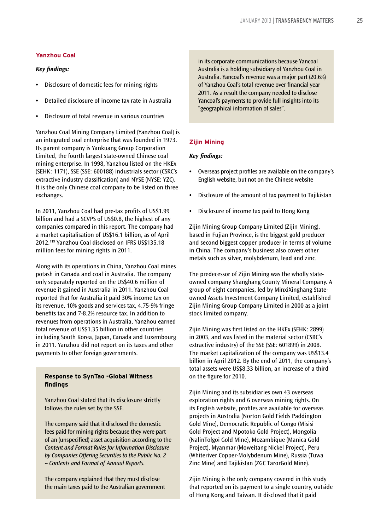#### **Yanzhou Coal**

#### *Key findings:*

- **•** Disclosure of domestic fees for mining rights
- **•** Detailed disclosure of income tax rate in Australia
- **•** Disclosure of total revenue in various countries

Yanzhou Coal Mining Company Limited (Yanzhou Coal) is an integrated coal enterprise that was founded in 1973. Its parent company is Yankuang Group Corporation Limited, the fourth largest state-owned Chinese coal mining enterprise. In 1998, Yanzhou listed on the HKEx (SEHK: 1171), SSE (SSE: 600188) industrials sector (CSRC's extractive industry classification) and NYSE (NYSE: YZC). It is the only Chinese coal company to be listed on three exchanges.

In 2011, Yanzhou Coal had pre-tax profits of US\$1.99 billion and had a SCVPS of US\$0.8, the highest of any companies compared in this report. The company had a market capitalisation of US\$16.1 billion, as of April 2012.119 Yanzhou Coal disclosed on IFRS US\$135.18 million fees for mining rights in 2011.

Along with its operations in China, Yanzhou Coal mines potash in Canada and coal in Australia. The company only separately reported on the US\$40.6 million of revenue it gained in Australia in 2011. Yanzhou Coal reported that for Australia it paid 30% income tax on its revenue, 10% goods and services tax, 4.75-9% fringe benefits tax and 7-8.2% resource tax. In addition to revenues from operations in Australia, Yanzhou earned total revenue of US\$1.35 billion in other countries including South Korea, Japan, Canada and Luxembourg in 2011. Yanzhou did not report on its taxes and other payments to other foreign governments.

#### **Response to SynTao -Global Witness findings**

Yanzhou Coal stated that its disclosure strictly follows the rules set by the SSE.

The company said that it disclosed the domestic fees paid for mining rights because they were part of an (unspecified) asset acquisition according to the *Content and Format Rules for Information Disclosure by Companies Offering Securities to the Public No. 2 -- Contents and Format of Annual Reports*.

The company explained that they must disclose the main taxes paid to the Australian government in its corporate communications because Yancoal Australia is a holding subsidiary of Yanzhou Coal in Australia. Yancoal's revenue was a major part (20.6%) of Yanzhou Coal's total revenue over financial year 2011. As a result the company needed to disclose Yancoal's payments to provide full insights into its "geographical information of sales".

#### **Zijin Mining**

#### *Key findings:*

- **•** Overseas project profiles are available on the company's English website, but not on the Chinese website
- **•** Disclosure of the amount of tax payment to Tajikistan
- **•** Disclosure of income tax paid to Hong Kong

Zijin Mining Group Company Limited (Zijin Mining), based in Fujian Province, is the biggest gold producer and second biggest copper producer in terms of volume in China. The company's business also covers other metals such as silver, molybdenum, lead and zinc.

The predecessor of Zijin Mining was the wholly stateowned company Shanghang County Mineral Company. A group of eight companies, led by MinxiXinghang Stateowned Assets Investment Company Limited, established Zijin Mining Group Company Limited in 2000 as a joint stock limited company.

Zijin Mining was first listed on the HKEx (SEHK: 2899) in 2003, and was listed in the material sector (CSRC's extractive industry) of the SSE (SSE: 601899) in 2008. The market capitalization of the company was US\$13.4 billion in April 2012. By the end of 2011, the company's total assets were US\$8.33 billion, an increase of a third on the figure for 2010.

Zijin Mining and its subsidiaries own 43 overseas exploration rights and 6 overseas mining rights. On its English website, profiles are available for overseas projects in Australia (Norton Gold Fields Paddington Gold Mine), Democratic Republic of Congo (Misisi Gold Project and Mpotoko Gold Project), Mongolia (NalinTolgoi Gold Mine), Mozambique (Manica Gold Project), Myanmar (Moweitang Nickel Project), Peru (Whiteriver Copper-Molybdenum Mine), Russia (Tuwa Zinc Mine) and Tajikistan (ZGC TarorGold Mine).

Zijin Mining is the only company covered in this study that reported on its payment to a single country, outside of Hong Kong and Taiwan. It disclosed that it paid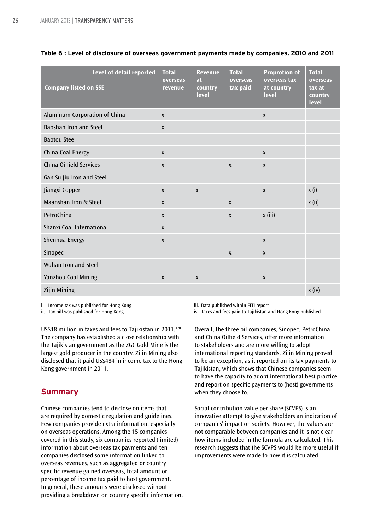| <b>Company listed on SSE</b>   | Level of detail reported | <b>Total</b><br>overseas<br>revenue | <b>Revenue</b><br>at<br>country<br>level | <b>Total</b><br>overseas<br>tax paid | <b>Proprotion of</b><br>overseas tax<br>at country<br>level | <b>Total</b><br>overseas<br>tax at<br>country<br>level |
|--------------------------------|--------------------------|-------------------------------------|------------------------------------------|--------------------------------------|-------------------------------------------------------------|--------------------------------------------------------|
| Aluminum Corporation of China  |                          | $\mathbf{x}$                        |                                          |                                      | $\boldsymbol{\mathsf{X}}$                                   |                                                        |
| <b>Baoshan Iron and Steel</b>  |                          | $\pmb{\chi}$                        |                                          |                                      |                                                             |                                                        |
| <b>Baotou Steel</b>            |                          |                                     |                                          |                                      |                                                             |                                                        |
| China Coal Energy              |                          | $\mathsf{x}$                        |                                          |                                      | $\boldsymbol{X}$                                            |                                                        |
| <b>China Oilfield Services</b> |                          | $\pmb{\chi}$                        |                                          | $\mathbf{x}$                         | $\boldsymbol{X}$                                            |                                                        |
| Gan Su Jiu Iron and Steel      |                          |                                     |                                          |                                      |                                                             |                                                        |
| Jiangxi Copper                 |                          | $\mathsf{x}$                        | $\mathbf{x}$                             |                                      | $\boldsymbol{x}$                                            | x(i)                                                   |
| Maanshan Iron & Steel          |                          | $\mathsf{x}$                        |                                          | $\mathbf{x}$                         |                                                             | x (ii)                                                 |
| PetroChina                     |                          | $\mathbf{x}$                        |                                          | $\mathbf{x}$                         | x(iii)                                                      |                                                        |
| Shanxi Coal International      |                          | $\mathsf{x}$                        |                                          |                                      |                                                             |                                                        |
| Shenhua Energy                 |                          | $\mathsf{x}$                        |                                          |                                      | $\boldsymbol{X}$                                            |                                                        |
| Sinopec                        |                          |                                     |                                          | $\mathbf{x}$                         | $\boldsymbol{\mathsf{X}}$                                   |                                                        |
| Wuhan Iron and Steel           |                          |                                     |                                          |                                      |                                                             |                                                        |
| Yanzhou Coal Mining            |                          | $\mathsf{x}$                        | $\mathbf{x}$                             |                                      | $\boldsymbol{\mathsf{x}}$                                   |                                                        |
| <b>Zijin Mining</b>            |                          |                                     |                                          |                                      |                                                             | x (iv)                                                 |

#### **Table 6 : Level of disclosure of overseas government payments made by companies, 2010 and 2011**

i. Income tax was published for Hong Kong

ii. Tax bill was published for Hong Kong

US\$18 million in taxes and fees to Tajikistan in 2011.<sup>120</sup> The company has established a close relationship with the Tajikistan government as the ZGC Gold Mine is the largest gold producer in the country. Zijin Mining also disclosed that it paid US\$484 in income tax to the Hong Kong government in 2011.

# **Summary**

Chinese companies tend to disclose on items that are required by domestic regulation and guidelines. Few companies provide extra information, especially on overseas operations. Among the 15 companies covered in this study, six companies reported (limited) information about overseas tax payments and ten companies disclosed some information linked to overseas revenues, such as aggregated or country specific revenue gained overseas, total amount or percentage of income tax paid to host government. In general, these amounts were disclosed without providing a breakdown on country specific information. iii. Data published within EITI report

iv. Taxes and fees paid to Tajikistan and Hong Kong published

Overall, the three oil companies, Sinopec, PetroChina and China Oilfield Services, offer more information to stakeholders and are more willing to adopt international reporting standards. Zijin Mining proved to be an exception, as it reported on its tax payments to Tajikistan, which shows that Chinese companies seem to have the capacity to adopt international best practice and report on specific payments to (host) governments when they choose to.

Social contribution value per share (SCVPS) is an innovative attempt to give stakeholders an indication of companies' impact on society. However, the values are not comparable between companies and it is not clear how items included in the formula are calculated. This research suggests that the SCVPS would be more useful if improvements were made to how it is calculated.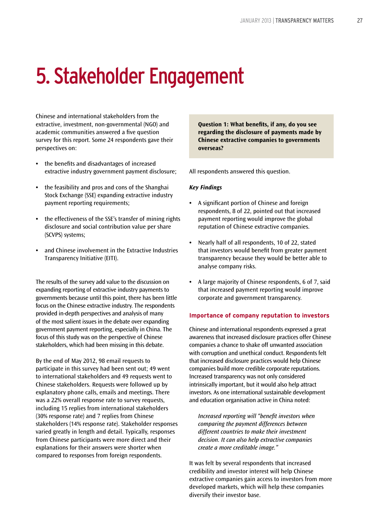# 5. Stakeholder Engagement

Chinese and international stakeholders from the extractive, investment, non-governmental (NGO) and academic communities answered a five question survey for this report. Some 24 respondents gave their perspectives on:

- **•** the benefits and disadvantages of increased extractive industry government payment disclosure;
- **•** the feasibility and pros and cons of the Shanghai Stock Exchange (SSE) expanding extractive industry payment reporting requirements;
- **•** the effectiveness of the SSE's transfer of mining rights disclosure and social contribution value per share (SCVPS) systems;
- **•** and Chinese involvement in the Extractive Industries Transparency Initiative (EITI).

The results of the survey add value to the discussion on expanding reporting of extractive industry payments to governments because until this point, there has been little focus on the Chinese extractive industry. The respondents provided in-depth perspectives and analysis of many of the most salient issues in the debate over expanding government payment reporting, especially in China. The focus of this study was on the perspective of Chinese stakeholders, which had been missing in this debate.

By the end of May 2012, 98 email requests to participate in this survey had been sent out; 49 went to international stakeholders and 49 requests went to Chinese stakeholders. Requests were followed up by explanatory phone calls, emails and meetings. There was a 22% overall response rate to survey requests, including 15 replies from international stakeholders (30% response rate) and 7 replies from Chinese stakeholders (14% response rate). Stakeholder responses varied greatly in length and detail. Typically, responses from Chinese participants were more direct and their explanations for their answers were shorter when compared to responses from foreign respondents.

**Question 1: What benefits, if any, do you see regarding the disclosure of payments made by Chinese extractive companies to governments overseas?**

All respondents answered this question.

#### *Key Findings*

- **•** A significant portion of Chinese and foreign respondents, 8 of 22, pointed out that increased payment reporting would improve the global reputation of Chinese extractive companies.
- **•** Nearly half of all respondents, 10 of 22, stated that investors would benefit from greater payment transparency because they would be better able to analyse company risks.
- **•** A large majority of Chinese respondents, 6 of 7, said that increased payment reporting would improve corporate and government transparency.

#### **Importance of company reputation to investors**

Chinese and international respondents expressed a great awareness that increased disclosure practices offer Chinese companies a chance to shake off unwanted association with corruption and unethical conduct. Respondents felt that increased disclosure practices would help Chinese companies build more credible corporate reputations. Increased transparency was not only considered intrinsically important, but it would also help attract investors. As one international sustainable development and education organisation active in China noted:

*Increased reporting will "benefit investors when comparing the payment differences between different countries to make their investment decision. It can also help extractive companies create a more creditable image."*

It was felt by several respondents that increased credibility and investor interest will help Chinese extractive companies gain access to investors from more developed markets, which will help these companies diversify their investor base.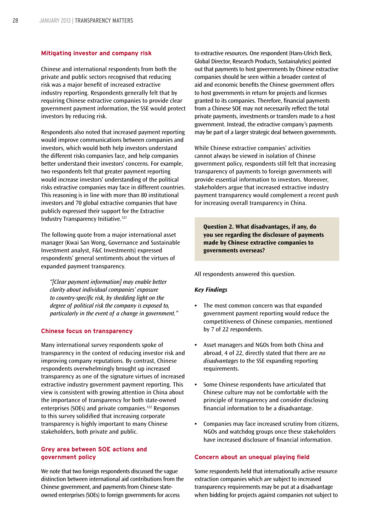#### **Mitigating investor and company risk**

Chinese and international respondents from both the private and public sectors recognised that reducing risk was a major benefit of increased extractive industry reporting. Respondents generally felt that by requiring Chinese extractive companies to provide clear government payment information, the SSE would protect investors by reducing risk.

Respondents also noted that increased payment reporting would improve communications between companies and investors, which would both help investors understand the different risks companies face, and help companies better understand their investors' concerns. For example, two respondents felt that greater payment reporting would increase investors' understanding of the political risks extractive companies may face in different countries. This reasoning is in line with more than 80 institutional investors and 70 global extractive companies that have publicly expressed their support for the Extractive Industry Transparency Initiative.121

The following quote from a major international asset manager (Kwai San Wong, Governance and Sustainable Investment analyst, F&C Investments) expressed respondents' general sentiments about the virtues of expanded payment transparency.

*"[Clear payment information] may enable better clarity about individual companies' exposure to country-specific risk, by shedding light on the degree of political risk the company is exposed to, particularly in the event of a change in government."*

#### **Chinese focus on transparency**

Many international survey respondents spoke of transparency in the context of reducing investor risk and improving company reputations. By contrast, Chinese respondents overwhelmingly brought up increased transparency as one of the signature virtues of increased extractive industry government payment reporting. This view is consistent with growing attention in China about the importance of transparency for both state-owned enterprises (SOEs) and private companies.122 Responses to this survey solidified that increasing corporate transparency is highly important to many Chinese stakeholders, both private and public.

#### **Grey area between SOE actions and government policy**

We note that two foreign respondents discussed the vague distinction between international aid contributions from the Chinese government, and payments from Chinese stateowned enterprises (SOEs) to foreign governments for access

to extractive resources. One respondent (Hans-Ulrich Beck, Global Director, Research Products, Sustainalytics) pointed out that payments to host governments by Chinese extractive companies should be seen within a broader context of aid and economic benefits the Chinese government offers to host governments in return for projects and licenses granted to its companies. Therefore, financial payments from a Chinese SOE may not necessarily reflect the total private payments, investments or transfers made to a host government. Instead, the extractive company's payments may be part of a larger strategic deal between governments.

While Chinese extractive companies' activities cannot always be viewed in isolation of Chinese government policy, respondents still felt that increasing transparency of payments to foreign governments will provide essential information to investors. Moreover, stakeholders argue that increased extractive industry payment transparency would complement a recent push for increasing overall transparency in China.

**Question 2. What disadvantages, if any, do you see regarding the disclosure of payments made by Chinese extractive companies to governments overseas?**

All respondents answered this question.

#### *Key Findings*

- **•** The most common concern was that expanded government payment reporting would reduce the competitiveness of Chinese companies, mentioned by 7 of 22 respondents.
- **•** Asset managers and NGOs from both China and abroad, 4 of 22, directly stated that there are *no disadvantages* to the SSE expanding reporting requirements.
- **•** Some Chinese respondents have articulated that Chinese culture may not be comfortable with the principle of transparency and consider disclosing financial information to be a disadvantage.
- **•** Companies may face increased scrutiny from citizens, NGOs and watchdog groups once these stakeholders have increased disclosure of financial information.

#### **Concern about an unequal playing field**

Some respondents held that internationally active resource extraction companies which are subject to increased transparency requirements may be put at a disadvantage when bidding for projects against companies not subject to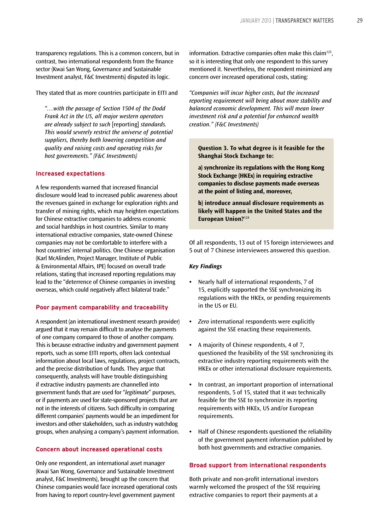transparency regulations. This is a common concern, but in contrast, two international respondents from the finance sector (Kwai San Wong, Governance and Sustainable Investment analyst, F&C Investments) disputed its logic.

They stated that as more countries participate in EITI and

*"…with the passage of Section 1504 of the Dodd Frank Act in the US, all major western operators are already subject to such* [reporting] *standards. This would severely restrict the universe of potential suppliers, thereby both lowering competition and quality and raising costs and operating risks for host governments." (F&C Investments)*

#### **Increased expectations**

A few respondents warned that increased financial disclosure would lead to increased public awareness about the revenues gained in exchange for exploration rights and transfer of mining rights, which may heighten expectations for Chinese extractive companies to address economic and social hardships in host countries. Similar to many international extractive companies, state-owned Chinese companies may not be comfortable to interfere with a host countries' internal politics. One Chinese organisation (Karl McAlinden, Project Manager, Institute of Public & Environmental Affairs, IPE) focused on overall trade relations, stating that increased reporting regulations may lead to the "deterrence of Chinese companies in investing overseas, which could negatively affect bilateral trade."

#### **Poor payment comparability and traceability**

A respondent (an international investment research provider) argued that it may remain difficult to analyse the payments of one company compared to those of another company. This is because extractive industry and government payment reports, such as some EITI reports, often lack contextual information about local laws, regulations, project contracts, and the precise distribution of funds. They argue that consequently, analysts will have trouble distinguishing if extractive industry payments are channelled into government funds that are used for "*legitimate*" purposes, or if payments are used for state-sponsored projects that are not in the interests of citizens. Such difficulty in comparing different companies' payments would be an impediment for investors and other stakeholders, such as industry watchdog groups, when analysing a company's payment information.

#### **Concern about increased operational costs**

Only one respondent, an international asset manager (Kwai San Wong, Governance and Sustainable Investment analyst, F&C Investments), brought up the concern that Chinese companies would face increased operational costs from having to report country-level government payment

information. Extractive companies often make this claim<sup>123</sup>, so it is interesting that only one respondent to this survey mentioned it. Nevertheless, the respondent minimized any concern over increased operational costs, stating:

*"Companies will incur higher costs, but the increased reporting requirement will bring about more stability and balanced economic development. This will mean lower investment risk and a potential for enhanced wealth creation." (F&C Investments)*

**Question 3. To what degree is it feasible for the Shanghai Stock Exchange to:**

**a) synchronize its regulations with the Hong Kong Stock Exchange (HKEx) in requiring extractive companies to disclose payments made overseas at the point of listing and, moreover,**

**b) introduce annual disclosure requirements as likely will happen in the United States and the European Union?**<sup>124</sup>

Of all respondents, 13 out of 15 foreign interviewees and 5 out of 7 Chinese interviewees answered this question.

#### *Key Findings*

- **•** Nearly half of international respondents, 7 of 15, explicitly supported the SSE synchronizing its regulations with the HKEx, or pending requirements in the US or EU.
- **•** *Zero* international respondents were explicitly against the SSE enacting these requirements.
- **•** A majority of Chinese respondents, 4 of 7, questioned the feasibility of the SSE synchronizing its extractive industry reporting requirements with the HKEx or other international disclosure requirements.
- **•** In contrast, an important proportion of international respondents, 5 of 15, stated that it *was* technically feasible for the SSE to synchronize its reporting requirements with HKEx, US and/or European requirements.
- **•** Half of Chinese respondents questioned the reliability of the government payment information published by both host governments and extractive companies.

#### **Broad support from international respondents**

Both private and non-profit international investors warmly welcomed the prospect of the SSE requiring extractive companies to report their payments at a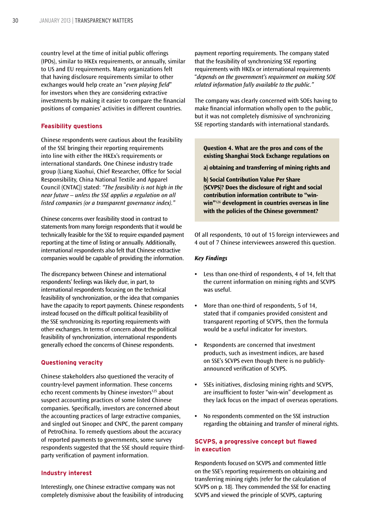country level at the time of initial public offerings (IPOs), similar to HKEx requirements, or annually, similar to US and EU requirements. Many organizations felt that having disclosure requirements similar to other exchanges would help create an "*even playing field*" for investors when they are considering extractive investments by making it easier to compare the financial positions of companies' activities in different countries.

#### **Feasibility questions**

Chinese respondents were cautious about the feasibility of the SSE bringing their reporting requirements into line with either the HKEx's requirements or international standards. One Chinese industry trade group (Liang Xiaohui, Chief Researcher, Office for Social Responsibility, China National Textile and Apparel Council (CNTAC)) stated: *"The feasibility is not high in the near future – unless the SSE applies a regulation on all listed companies (or a transparent governance index)."*

Chinese concerns over feasibility stood in contrast to statements from many foreign respondents that it would be technically feasible for the SSE to require expanded payment reporting at the time of listing or annually. Additionally, international respondents also felt that Chinese extractive companies would be capable of providing the information.

The discrepancy between Chinese and international respondents' feelings was likely due, in part, to international respondents focusing on the technical feasibility of synchronization, or the idea that companies have the capacity to report payments. Chinese respondents instead focused on the difficult political feasibility of the SSE synchronizing its reporting requirements with other exchanges. In terms of concern about the political feasibility of synchronization, international respondents generally echoed the concerns of Chinese respondents.

#### **Questioning veracity**

Chinese stakeholders also questioned the veracity of country-level payment information. These concerns echo recent comments by Chinese investors<sup>125</sup> about suspect accounting practices of some listed Chinese companies. Specifically, investors are concerned about the accounting practices of large extractive companies, and singled out Sinopec and CNPC, the parent company of PetroChina. To remedy questions about the accuracy of reported payments to governments, some survey respondents suggested that the SSE should require thirdparty verification of payment information.

#### **Industry interest**

Interestingly, one Chinese extractive company was not completely dismissive about the feasibility of introducing

payment reporting requirements. The company stated that the feasibility of synchronizing SSE reporting requirements with HKEx or international requirements "*depends on the government's requirement on making SOE related information fully available to the public."*

The company was clearly concerned with SOEs having to make financial information wholly open to the public, but it was not completely dismissive of synchronizing SSE reporting standards with international standards.

**Question 4. What are the pros and cons of the existing Shanghai Stock Exchange regulations on**

**a) obtaining and transferring of mining rights and**

**b) Social Contribution Value Per Share (SCVPS)? Does the disclosure of right and social contribution information contribute to "winwin"**<sup>126</sup> **development in countries overseas in line with the policies of the Chinese government?**

Of all respondents, 10 out of 15 foreign interviewees and 4 out of 7 Chinese interviewees answered this question.

#### *Key Findings*

- **•** Less than one-third of respondents, 4 of 14, felt that the current information on mining rights and SCVPS was useful.
- **•** More than one-third of respondents, 5 of 14, stated that if companies provided consistent and transparent reporting of SCVPS, then the formula would be a useful indicator for investors.
- **•** Respondents are concerned that investment products, such as investment indices, are based on SSE's SCVPS even though there is no publiclyannounced verification of SCVPS.
- **•** SSEs initiatives, disclosing mining rights and SCVPS, are insufficient to foster "win-win" development as they lack focus on the impact of overseas operations.
- **•** No respondents commented on the SSE instruction regarding the obtaining and transfer of mineral rights.

#### **SCVPS, a progressive concept but flawed in execution**

Respondents focused on SCVPS and commented little on the SSE's reporting requirements on obtaining and transferring mining rights (refer for the calculation of SCVPS on p. 18). They commended the SSE for enacting SCVPS and viewed the principle of SCVPS, capturing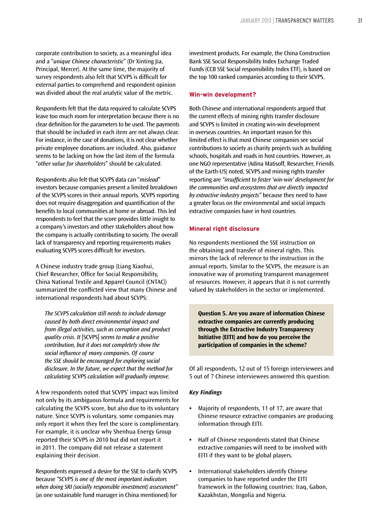corporate contribution to society, as a meaningful idea and a "*unique Chinese characteristic*" (Dr Xinting Jia, Principal, Mercer). At the same time, the majority of survey respondents also felt that SCVPS is difficult for external parties to comprehend and respondent opinion was divided about the real analytic value of the metric.

Respondents felt that the data required to calculate SCVPS leave too much room for interpretation because there is no clear definition for the parameters to be used. The payments that should be included in each item are not always clear. For instance, in the case of donations, it is not clear whether private employee donations are included. Also, guidance seems to be lacking on how the last item of the formula "*other value for shareholders*" should be calculated.

Respondents also felt that SCVPS data can "*mislead*" investors because companies present a limited breakdown of the SCVPS scores in their annual reports. SCVPS reporting does not require disaggregation and quantification of the benefits to local communities at home or abroad. This led respondents to feel that the score provides little insight to a company's investors and other stakeholders about how the company is actually contributing to society. The overall lack of transparency and reporting requirements makes evaluating SCVPS scores difficult for investors.

A Chinese industry trade group (Liang Xiaohui, Chief Researcher, Office for Social Responsibility, China National Textile and Apparel Council (CNTAC)) summarized the conflicted view that many Chinese and international respondents had about SCVPS:

*The SCVPS calculation still needs to include damage caused by both direct environmental impact and from illegal activities, such as corruption and product quality crisis. It* [SCVPS] *seems to make a positive contribution, but it does not completely show the social influence of many companies. Of course the SSE should be encouraged for exploring social disclosure. In the future, we expect that the method for calculating SCVPS calculation will gradually improve.*

A few respondents noted that SCVPS' impact was limited not only by its ambiguous formula and requirements for calculating the SCVPS score, but also due to its voluntary nature. Since SCVPS is voluntary, some companies may only report it when they feel the score is complimentary. For example, it is unclear why Shenhua Energy Group reported their SCVPS in 2010 but did not report it in 2011. The company did not release a statement explaining their decision.

Respondents expressed a desire for the SSE to clarify SCVPS because *"SCVPS is one of the most important indicators when doing SRI (socially responsible investment) assessment"* (as one sustainable fund manager in China mentioned) for

investment products. For example, the China Construction Bank SSE Social Responsibility Index Exchange Traded Funds (CCB SSE Social responsibility Index ETF), is based on the top 100 ranked companies according to their SCVPS.

#### **Win-win development?**

Both Chinese and international respondents argued that the current effects of mining rights transfer disclosure and SCVPS is limited in creating win-win development in overseas countries. An important reason for this limited effect is that most Chinese companies see social contributions to society as charity projects such as building schools, hospitals and roads in host countries. However, as one NGO representative (Adina Matisoff, Researcher, Friends of the Earth-US) noted, SCVPS and mining rights transfer reporting are *"insufficient to foster 'win-win' development for the communities and ecosystems that are directly impacted by extractive industry projects"* because they need to have a greater focus on the environmental and social impacts extractive companies have in host countries.

#### **Mineral right disclosure**

No respondents mentioned the SSE instruction on the obtaining and transfer of mineral rights. This mirrors the lack of reference to the instruction in the annual reports. Similar to the SCVPS, the measure is an innovative way of promoting transparent management of resources. However, it appears that it is not currently valued by stakeholders in the sector or implemented.

**Question 5. Are you aware of information Chinese extractive companies are currently producing through the Extractive Industry Transparency Initiative (EITI) and how do you perceive the participation of companies in the scheme?**

Of all respondents, 12 out of 15 foreign interviewees and 5 out of 7 Chinese interviewees answered this question.

#### *Key Findings*

- **•** Majority of respondents, 11 of 17, are aware that Chinese resource extractive companies are producing information through EITI.
- **•** Half of Chinese respondents stated that Chinese extractive companies will need to be involved with EITI if they want to be global players.
- **•** International stakeholders identify Chinese companies to have reported under the EITI framework in the following countries: Iraq, Gabon, Kazakhstan, Mongolia and Nigeria.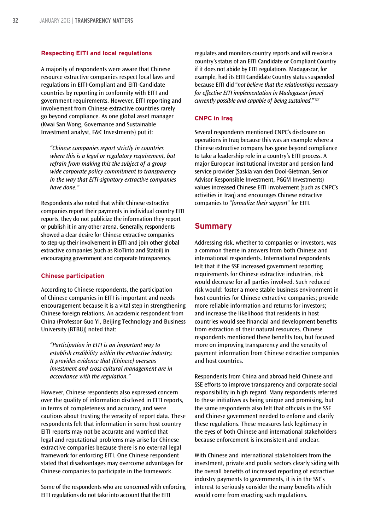#### **Respecting EITI and local regulations**

A majority of respondents were aware that Chinese resource extractive companies respect local laws and regulations in EITI-Compliant and EITI-Candidate countries by reporting in conformity with EITI and government requirements. However, EITI reporting and involvement from Chinese extractive countries rarely go beyond compliance. As one global asset manager (Kwai San Wong, Governance and Sustainable Investment analyst, F&C Investments) put it:

*"Chinese companies report strictly in countries where this is a legal or regulatory requirement, but refrain from making this the subject of a group wide corporate policy commitment to transparency in the way that EITI-signatory extractive companies have done."*

Respondents also noted that while Chinese extractive companies report their payments in individual country EITI reports, they do not publicize the information they report or publish it in any other arena. Generally, respondents showed a clear desire for Chinese extractive companies to step-up their involvement in EITI and join other global extractive companies (such as RioTinto and Statoil) in encouraging government and corporate transparency.

#### **Chinese participation**

According to Chinese respondents, the participation of Chinese companies in EITI is important and needs encouragement because it is a vital step in strengthening Chinese foreign relations. An academic respondent from China (Professor Guo Yi, Beijing Technology and Business University (BTBU)) noted that:

*"Participation in EITI is an important way to establish credibility within the extractive industry. It provides evidence that [Chinese] overseas investment and cross-cultural management are in accordance with the regulation."*

However, Chinese respondents also expressed concern over the quality of information disclosed in EITI reports, in terms of completeness and accuracy, and were cautious about trusting the veracity of report data. These respondents felt that information in some host country EITI reports may not be accurate and worried that legal and reputational problems may arise for Chinese extractive companies because there is no external legal framework for enforcing EITI. One Chinese respondent stated that disadvantages may overcome advantages for Chinese companies to participate in the framework.

Some of the respondents who are concerned with enforcing EITI regulations do not take into account that the EITI

regulates and monitors country reports and will revoke a country's status of an EITI Candidate or Compliant Country if it does not abide by EITI regulations. Madagascar, for example, had its EITI Candidate Country status suspended because EITI did "*not believe that the relationships necessary for effective EITI implementation in Madagascar [were] currently possible and capable of being sustained.*"127

#### **CNPC in Iraq**

Several respondents mentioned CNPC's disclosure on operations in Iraq because this was an example where a Chinese extractive company has gone beyond compliance to take a leadership role in a country's EITI process. A major European institutional investor and pension fund service provider (Saskia van den Dool-Gietman, Senior Advisor Responsible Investment, PGGM Investments) values increased Chinese EITI involvement (such as CNPC's activities in Iraq) and encourages Chinese extractive companies to "*formalize their support*" for EITI.

#### **Summary**

Addressing risk, whether to companies or investors, was a common theme in answers from both Chinese and international respondents. International respondents felt that if the SSE increased government reporting requirements for Chinese extractive industries, risk would decrease for all parties involved. Such reduced risk would: foster a more stable business environment in host countries for Chinese extractive companies; provide more reliable information and returns for investors; and increase the likelihood that residents in host countries would see financial and development benefits from extraction of their natural resources. Chinese respondents mentioned these benefits too, but focused more on improving transparency and the veracity of payment information from Chinese extractive companies and host countries.

Respondents from China and abroad held Chinese and SSE efforts to improve transparency and corporate social responsibility in high regard. Many respondents referred to these initiatives as being unique and promising, but the same respondents also felt that officials in the SSE and Chinese government needed to enforce and clarify these regulations. These measures lack legitimacy in the eyes of both Chinese and international stakeholders because enforcement is inconsistent and unclear.

With Chinese and international stakeholders from the investment, private and public sectors clearly siding with the overall benefits of increased reporting of extractive industry payments to governments, it is in the SSE's interest to seriously consider the many benefits which would come from enacting such regulations.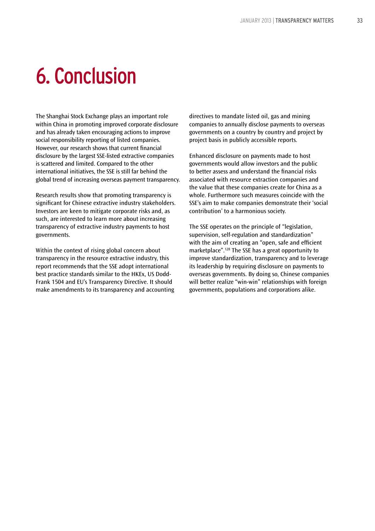# 6. Conclusion

The Shanghai Stock Exchange plays an important role within China in promoting improved corporate disclosure and has already taken encouraging actions to improve social responsibility reporting of listed companies. However, our research shows that current financial disclosure by the largest SSE-listed extractive companies is scattered and limited. Compared to the other international initiatives, the SSE is still far behind the global trend of increasing overseas payment transparency.

Research results show that promoting transparency is significant for Chinese extractive industry stakeholders. Investors are keen to mitigate corporate risks and, as such, are interested to learn more about increasing transparency of extractive industry payments to host governments.

Within the context of rising global concern about transparency in the resource extractive industry, this report recommends that the SSE adopt international best practice standards similar to the HKEx, US Dodd-Frank 1504 and EU's Transparency Directive. It should make amendments to its transparency and accounting

directives to mandate listed oil, gas and mining companies to annually disclose payments to overseas governments on a country by country and project by project basis in publicly accessible reports.

Enhanced disclosure on payments made to host governments would allow investors and the public to better assess and understand the financial risks associated with resource extraction companies and the value that these companies create for China as a whole. Furthermore such measures coincide with the SSE's aim to make companies demonstrate their 'social contribution' to a harmonious society.

The SSE operates on the principle of "legislation, supervision, self-regulation and standardization" with the aim of creating an "open, safe and efficient marketplace".128 The SSE has a great opportunity to improve standardization, transparency and to leverage its leadership by requiring disclosure on payments to overseas governments. By doing so, Chinese companies will better realize "win-win" relationships with foreign governments, populations and corporations alike.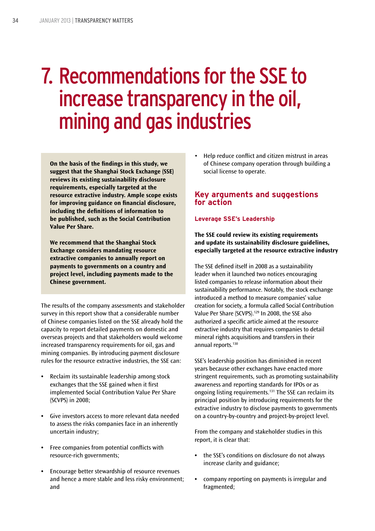# 7. Recommendations for the SSE to increase transparency in the oil, mining and gas industries

**On the basis of the findings in this study, we suggest that the Shanghai Stock Exchange (SSE) reviews its existing sustainability disclosure requirements, especially targeted at the resource extractive industry. Ample scope exists for improving guidance on financial disclosure, including the definitions of information to be published, such as the Social Contribution Value Per Share.**

**We recommend that the Shanghai Stock Exchange considers mandating resource extractive companies to annually report on payments to governments on a country and project level, including payments made to the Chinese government.**

The results of the company assessments and stakeholder survey in this report show that a considerable number of Chinese companies listed on the SSE already hold the capacity to report detailed payments on domestic and overseas projects and that stakeholders would welcome increased transparency requirements for oil, gas and mining companies. By introducing payment disclosure rules for the resource extractive industries, the SSE can:

- **•** Reclaim its sustainable leadership among stock exchanges that the SSE gained when it first implemented Social Contribution Value Per Share (SCVPS) in 2008;
- **•** Give investors access to more relevant data needed to assess the risks companies face in an inherently uncertain industry;
- **•** Free companies from potential conflicts with resource-rich governments;
- **•** Encourage better stewardship of resource revenues and hence a more stable and less risky environment; and

Help reduce conflict and citizen mistrust in areas of Chinese company operation through building a social license to operate.

# **Key arguments and suggestions for action**

#### **Leverage SSE's Leadership**

**The SSE could review its existing requirements and update its sustainability disclosure guidelines, especially targeted at the resource extractive industry**

The SSE defined itself in 2008 as a sustainability leader when it launched two notices encouraging listed companies to release information about their sustainability performance. Notably, the stock exchange introduced a method to measure companies' value creation for society, a formula called Social Contribution Value Per Share (SCVPS).129 In 2008, the SSE also authorized a specific article aimed at the resource extractive industry that requires companies to detail mineral rights acquisitions and transfers in their annual reports.<sup>130</sup>

SSE's leadership position has diminished in recent years because other exchanges have enacted more stringent requirements, such as promoting sustainability awareness and reporting standards for IPOs or as ongoing listing requirements.131 The SSE can reclaim its principal position by introducing requirements for the extractive industry to disclose payments to governments on a country-by-country and project-by-project level.

From the company and stakeholder studies in this report, it is clear that:

- **•** the SSE's conditions on disclosure do not always increase clarity and guidance;
- **•** company reporting on payments is irregular and fragmented;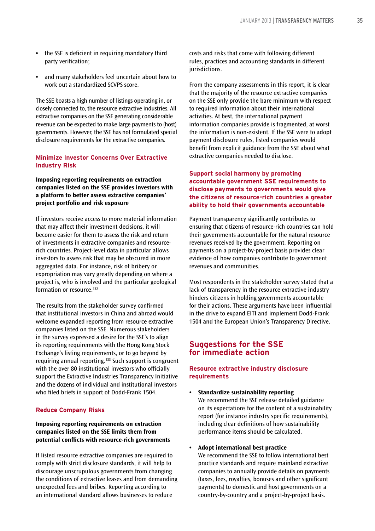- **•** the SSE is deficient in requiring mandatory third party verification;
- **•** and many stakeholders feel uncertain about how to work out a standardized SCVPS score.

The SSE boasts a high number of listings operating in, or closely connected to, the resource extractive industries. All extractive companies on the SSE generating considerable revenue can be expected to make large payments to (host) governments. However, the SSE has not formulated special disclosure requirements for the extractive companies.

#### **Minimize Investor Concerns Over Extractive Industry Risk**

**Imposing reporting requirements on extraction companies listed on the SSE provides investors with a platform to better assess extractive companies' project portfolio and risk exposure**

If investors receive access to more material information that may affect their investment decisions, it will become easier for them to assess the risk and return of investments in extractive companies and resourcerich countries. Project-level data in particular allows investors to assess risk that may be obscured in more aggregated data. For instance, risk of bribery or expropriation may vary greatly depending on where a project is, who is involved and the particular geological formation or resource.<sup>132</sup>

The results from the stakeholder survey confirmed that institutional investors in China and abroad would welcome expanded reporting from resource extractive companies listed on the SSE. Numerous stakeholders in the survey expressed a desire for the SSE's to align its reporting requirements with the Hong Kong Stock Exchange's listing requirements, or to go beyond by requiring annual reporting.133 Such support is congruent with the over 80 institutional investors who officially support the Extractive Industries Transparency Initiative and the dozens of individual and institutional investors who filed briefs in support of Dodd-Frank 1504.

#### **Reduce Company Risks**

#### **Imposing reporting requirements on extraction companies listed on the SSE limits them from potential conflicts with resource-rich governments**

If listed resource extractive companies are required to comply with strict disclosure standards, it will help to discourage unscrupulous governments from changing the conditions of extractive leases and from demanding unexpected fees and bribes. Reporting according to an international standard allows businesses to reduce

costs and risks that come with following different rules, practices and accounting standards in different iurisdictions.

From the company assessments in this report, it is clear that the majority of the resource extractive companies on the SSE only provide the bare minimum with respect to required information about their international activities. At best, the international payment information companies provide is fragmented, at worst the information is non-existent. If the SSE were to adopt payment disclosure rules, listed companies would benefit from explicit guidance from the SSE about what extractive companies needed to disclose.

#### **Support social harmony by promoting accountable government SSE requirements to disclose payments to governments would give the citizens of resource-rich countries a greater ability to hold their governments accountable**

Payment transparency significantly contributes to ensuring that citizens of resource-rich countries can hold their governments accountable for the natural resource revenues received by the government. Reporting on payments on a project-by-project basis provides clear evidence of how companies contribute to government revenues and communities.

Most respondents in the stakeholder survey stated that a lack of transparency in the resource extractive industry hinders citizens in holding governments accountable for their actions. These arguments have been influential in the drive to expand EITI and implement Dodd-Frank 1504 and the European Union's Transparency Directive.

### **Suggestions for the SSE for immediate action**

#### **Resource extractive industry disclosure requirements**

**• Standardize sustainability reporting** We recommend the SSE release detailed guidance on its expectations for the content of a sustainability report (for instance industry specific requirements), including clear definitions of how sustainability performance items should be calculated.

#### **• Adopt international best practice**

We recommend the SSE to follow international best practice standards and require mainland extractive companies to annually provide details on payments (taxes, fees, royalties, bonuses and other significant payments) to domestic and host governments on a country-by-country and a project-by-project basis.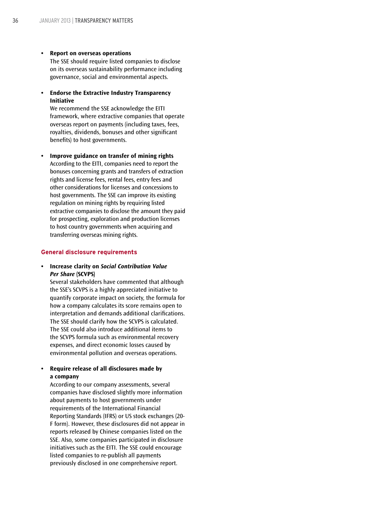#### **• Report on overseas operations**

The SSE should require listed companies to disclose on its overseas sustainability performance including governance, social and environmental aspects.

**• Endorse the Extractive Industry Transparency Initiative**

We recommend the SSE acknowledge the EITI framework, where extractive companies that operate overseas report on payments (including taxes, fees, royalties, dividends, bonuses and other significant benefits) to host governments.

**• Improve guidance on transfer of mining rights** According to the EITI, companies need to report the bonuses concerning grants and transfers of extraction rights and license fees, rental fees, entry fees and other considerations for licenses and concessions to host governments. The SSE can improve its existing regulation on mining rights by requiring listed extractive companies to disclose the amount they paid for prospecting, exploration and production licenses to host country governments when acquiring and transferring overseas mining rights.

#### **General disclosure requirements**

**• Increase clarity on** *Social Contribution Value Per Share* **(SCVPS)**

Several stakeholders have commented that although the SSE's SCVPS is a highly appreciated initiative to quantify corporate impact on society, the formula for how a company calculates its score remains open to interpretation and demands additional clarifications. The SSE should clarify how the SCVPS is calculated. The SSE could also introduce additional items to the SCVPS formula such as environmental recovery expenses, and direct economic losses caused by environmental pollution and overseas operations.

#### **• Require release of all disclosures made by a company**

According to our company assessments, several companies have disclosed slightly more information about payments to host governments under requirements of the International Financial Reporting Standards (IFRS) or US stock exchanges (20- F form). However, these disclosures did not appear in reports released by Chinese companies listed on the SSE. Also, some companies participated in disclosure initiatives such as the EITI. The SSE could encourage listed companies to re-publish all payments previously disclosed in one comprehensive report.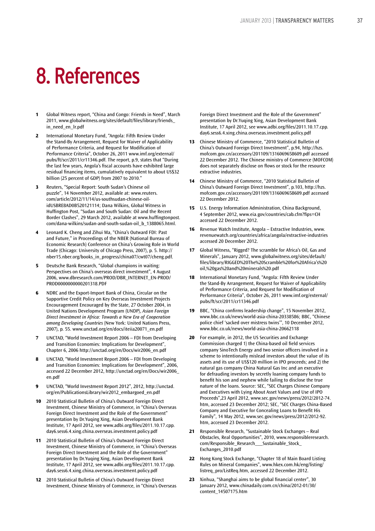# 8. References

- **1** Global Witness report, "China and Congo: Friends in Need", March 2011, www.globalwitness.org/sites/default/files/library/friends\_ in\_need\_en\_lr.pdf
- **2** International Monetary Fund, "Angola: Fifth Review Under the Stand-By Arrangement, Request for Waiver of Applicability of Performance Criteria, and Request for Modification of Performance Criteria", October 26, 2011 www.imf.org/external/ pubs/ft/scr/2011/cr11346.pdf. The report, p.9, states that "During the last few years, Angola's fiscal accounts have exhibited large residual financing items, cumulatively equivalent to about US\$32 billion (25 percent of GDP) from 2007 to 2010."
- **3** Reuters, "Special Report: South Sudan's Chinese oil puzzle", 14 November 2012, available at: www.reuters. com/article/2012/11/14/us-southsudan-chinese-oilidUSBRE8AD0B520121114; Dana Wilkins, Global Witness in Huffington Post, "Sudan and South Sudan: Oil and the Recent Border Clashes", 29 March 2012, available at www.huffingtonpost. com/dana-wilkins/sudan-and-south-sudan-oil\_b\_1388065.html.
- **4** Leonard K. Cheng and Zihui Ma, "China's Outward FDI: Past and Future," in Proceedings of the NBER (National Bureau of Economic Research) Conference on China's Growing Role in World Trade (Chicago: University of Chicago Press, 2007), p. 5. http:// nber15.nber.org/books\_in\_progress/china07/cwt07/cheng.pdf.
- **5** Deutsche Bank Research, "Global champions in waiting: Perspectives on China's overseas direct investment", 4 August 2006, www.dbresearch.com/PROD/DBR\_INTERNET\_EN-PROD/ PROD0000000000201318.PDF
- **6** NDRC and the Export-Import Bank of China, Circular on the Supportive Credit Policy on Key Overseas Investment Projects Encouragement Encouraged by the State, 27 October 2004, in United Nations Development Program (UNDP), *Asian Foreign Direct Investment in Africa: Towards a New Era of Cooperation among Developing Countries* (New York: United Nations Press, 2007), p. 55. www.unctad.org/en/docs/iteiia20071\_en.pdf
- **7** UNCTAD, "World Investment Report 2006 FDI from Developing and Transition Economies: Implications for Development", Chapter 6, 2006 http://unctad.org/en/Docs/wir2006\_en.pdf
- **8** UNCTAD, "World Investment Report 2006 FDI from Developing and Transition Economies: Implications for Development", 2006, accessed 22 December 2012, http://unctad.org/en/Docs/wir2006\_ en.pdf
- **9** UNCTAD, "World Investment Report 2012", 2012, http://unctad. org/en/PublicationsLibrary/wir2012\_embargoed\_en.pdf
- **10** 2010 Statistical Bulletin of China's Outward Foreign Direct Investment, Chinese Ministry of Commerce, in "China's Overseas Foreign Direct Investment and the Role of the Government" presentation by Dr.Yuqing Xing, Asian Development Bank Institute, 17 April 2012, see www.adbi.org/files/2011.10.17.cpp. day6.sess6.4.xing.china.overseas.investment.policy.pdf
- **11** 2010 Statistical Bulletin of China's Outward Foreign Direct Investment, Chinese Ministry of Commerce, in "China's Overseas Foreign Direct Investment and the Role of the Government" presentation by Dr.Yuqing Xing, Asian Development Bank Institute, 17 April 2012, see www.adbi.org/files/2011.10.17.cpp. day6.sess6.4.xing.china.overseas.investment.policy.pdf
- **12** 2010 Statistical Bulletin of China's Outward Foreign Direct Investment, Chinese Ministry of Commerce, in "China's Overseas

Foreign Direct Investment and the Role of the Government" presentation by Dr.Yuqing Xing, Asian Development Bank Institute, 17 April 2012, see www.adbi.org/files/2011.10.17.cpp. day6.sess6.4.xing.china.overseas.investment.policy.pdf

- **13** Chinese Ministry of Commerce, "2010 Statistical Bulletin of China's Outward Foreign Direct Investment", p.94, http://hzs. mofcom.gov.cn/accessory/201109/1316069658609.pdf accessed 22 December 2012. The Chinese ministry of Commerce (MOFCOM) does not separately disclose on flows or stock for the resource extractive industries.
- **14** Chinese Ministry of Commerce, "2010 Statistical Bulletin of China's Outward Foreign Direct Investment", p.103, http://hzs. mofcom.gov.cn/accessory/201109/1316069658609.pdf accessed 22 December 2012.
- **15** U.S. Energy Information Administration, China Background, 4 September 2012, www.eia.gov/countries/cab.cfm?fips=CH accessed 22 December 2012.
- **16** Revenue Watch Institute, Angola Extractive Industries, www. revenuewatch.org/countries/africa/angola/extractive-industries accessed 20 December 2012.
- **17** Global Witness, "Rigged? The scramble for Africa's Oil, Gas and Minerals", January 2012, www.globalwitness.org/sites/default/ files/library/RIGGED%20The%20Scramble%20for%20Africa's%20 oil,%20gas%20and%20minerals%20.pdf
- **18** International Monetary Fund, "Angola: Fifth Review Under the Stand-By Arrangement, Request for Waiver of Applicability of Performance Criteria, and Request for Modification of Performance Criteria", October 26, 2011 www.imf.org/external/ pubs/ft/scr/2011/cr11346.pdf
- **19** BBC, "China confirms leadership change", 15 November 2012, www.bbc.co.uk/news/world-asia-china-20338586; BBC, "Chinese police chief 'sacked over mistress twins'", 10 December 2012, www.bbc.co.uk/news/world-asia-china-20662118
- **20** For example, in 2012, the US Securities and Exchange Commission charged 1) the China-based oil field services company SinoTech Energy and two senior officers involved in a scheme to intentionally mislead investors about the value of its assets and its use of US\$120 million in IPO proceeds; and 2) the natural gas company China Natural Gas Inc and an executive for defrauding investors by secretly loaning company funds to benefit his son and nephew while failing to disclose the true nature of the loans. Source: SEC, "SEC Charges Chinese Company and Executives with Lying About Asset Values and Use of IPO Proceeds",23 April 2012, www.sec.gov/news/press/2012/2012-74. htm, accessed 23 December 2012; SEC, "SEC Charges China-Based Company and Executive for Concealing Loans to Benefit His Family", 14 May 2012, www.sec.gov/news/press/2012/2012-92. htm, accessed 23 December 2012.
- **21** Responsible Research, "Sustainable Stock Exchanges Real Obstacles, Real Opportunities", 2010, www.responsibleresearch. com/Responsible\_Research\_\_\_Sustainable\_Stock\_ Exchanges\_2010.pdf
- **22** Hong Kong Stock Exchange, "Chapter 18 of Main Board Listing Rules on Mineral Companies", www.hkex.com.hk/eng/listing/ listreq\_pro/ListReq.htm, accessed 22 December 2012.
- **23** Xinhua, "Shanghai aims to be global financial center", 30 January 2012, www.chinadaily.com.cn/china/2012-01/30/ content\_14507175.htm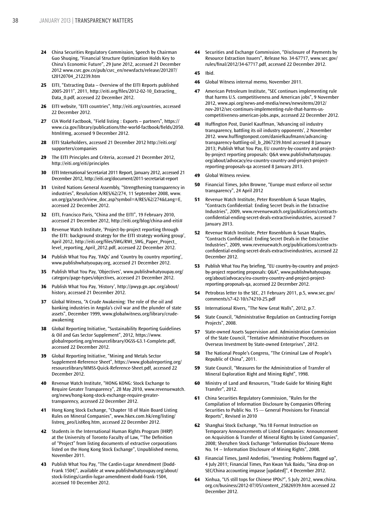- **24** China Securities Regulatory Commission, Speech by Chairman Guo Shuqing, "Financial Structure Optimization Holds Key to China's Economic Future", 29 June 2012, accessed 21 December 2012 www.csrc.gov.cn/pub/csrc\_en/newsfacts/release/201207/ t20120704\_212239.htm
- **25** EITI, "Extracting Data Overview of the EITI Reports published 2005-2011", 2011, http://eiti.org/files/2012-02-10\_Extracting\_ Data\_0.pdf, accessed 22 December 2012.
- **26** EITI website, "EITI countries", http://eiti.org/countries, accessed 22 December 2012.
- **27** CIA World Factbook, "Field listing : Exports partners", https:// www.cia.gov/library/publications/the-world-factbook/fields/2050. html#mg, accessed 9 December 2012.
- **28** EITI Stakeholders, accessed 21 December 2012 http://eiti.org/ supporters/companies
- **29** The EITI Principles and Criteria, accessed 21 December 2012, http://eiti.org/eiti/principles
- **30** EITI International Secretariat 2011 Report, January 2012, accessed 21 December 2012, http://eiti.org/document/2011-secretariat-report
- **31** United Nations General Assembly, "Strengthening transparency in industries", Resolution A/RES/62/274, 11 September 2008, www. un.org/ga/search/view\_doc.asp?symbol=A/RES/62/274&Lang=E, accessed 22 December 2012.
- **32** EITI, Francisco Paris, "China and the EITI", 19 February 2010, accessed 21 December 2012, http://eiti.org/blog/china-and-eiti#
- **33** Revenue Watch Institute, 'Project-by-project reporting through the EITI: background strategy for the EITI strategy working group', April 2012, http://eiti.org/files/SWG/RWI\_SWG\_Paper\_Project\_ level\_reporting\_April\_2012.pdf, accessed 22 December 2012.
- **34** Publish What You Pay, 'FAQs' and 'Country by country reporting', www.publishwhatyoupay.org, accessed 21 December 2012.
- **35** Publish What You Pay, 'Objectives', www.publishwhatyoupay.org/ category/page-types/objectives, accessed 21 December 2012.
- **36** Publish What You Pay, 'History', http://pwyp.gn.apc.org/about/ history, accessed 21 December 2012.
- **37** Global Witness, "A Crude Awakening: The role of the oil and banking industries in Angola's civil war and the plunder of state assets", December 1999, www.globalwitness.org/library/crudeawakening
- **38** Global Reporting Initiative, "Sustainability Reporting Guidelines & Oil and Gas Sector Supplement", 2012, https://www. globalreporting.org/resourcelibrary/OGSS-G3.1-Complete.pdf, accessed 22 December 2012.
- **39** Global Reporting Initiative, "Mining and Metals Sector Supplement-Reference Sheet", https://www.globalreporting.org/ resourcelibrary/MMSS-Quick-Reference-Sheet.pdf, accessed 22 December 2012.
- **40** Revenue Watch Institute, "HONG KONG: Stock Exchange to Require Greater Transparency", 28 May 2010, www.revenuewatch. org/news/hong-kong-stock-exchange-require-greatertransparency, accessed 22 December 2012.
- **41** Hong Kong Stock Exchange, "Chapter 18 of Main Board Listing Rules on Mineral Companies", www.hkex.com.hk/eng/listing/ listreq\_pro/ListReq.htm, accessed 22 December 2012.
- **42** Students in the International Human Rights Program (IHRP) at the University of Toronto Faculty of Law, "'The Definition of "Project" from listing documents of extractive corporations listed on the Hong Kong Stock Exchange", Unpublished memo, November 2011.
- **43** Publish What You Pay, "The Cardin-Lugar Amendment (Dodd-Frank 1504)", available at www.publishwhatyoupay.org/about/ stock-listings/cardin-lugar-amendment-dodd-frank-1504, accessed 10 December 2012.

**44** Securities and Exchange Commission, "Disclosure of Payments by Resource Extraction Issuers", Release No. 34-67717, www.sec.gov/ rules/final/2012/34-67717.pdf, accessed 22 December 2012.

#### **45** Ibid.

- **46** Global Witness internal memo, November 2011.
- **47** American Petroleum Institute, "SEC continues implementing rule that harms U.S. competitiveness and American jobs", 9 November 2012, www.api.org/news-and-media/news/newsitems/2012/ nov-2012/sec-continues-implementing-rule-that-harms-uscompetitiveness-american-jobs.aspx, accessed 22 December 2012.
- **48** Huffington Post, Daniel Kauffman, 'Advancing oil industry transparency, battling its oil industry opponents', 2 November 2012. www.huffingtonpost.com/danielkaufmann/advancingtransparency-battling-oil\_b\_2067239.html accessed 8 January 2013; Publish What You Pay, EU country-by-country and projectby-project reporting proposals: Q&A www.publishwhatyoupay. org/about/advocacy/eu-country-country-and-project-projectreporting-proposals-qa accessed 8 January 2013.

#### **49** Global Witness review.

- **50** Financial Times, John Browne, "Europe must enforce oil sector transparency", 24 April 2012
- **51** Revenue Watch Institute, Peter Rosenblum & Susan Maples, "Contracts Confidential: Ending Secret Deals in the Extractive Industries", 2009, www.revenuewatch.org/publications/contractsconfidential-ending-secret-deals-extractiveindustries, accessed 7 January 2013.
- **52** Revenue Watch Institute, Peter Rosenblum & Susan Maples, "Contracts Confidential: Ending Secret Deals in the Extractive Industries", 2009, www.revenuewatch.org/publications/contractsconfidential-ending-secret-deals-extractiveindustries, accessed 22 December 2012.
- **53** Publish What You Pay briefing, "EU country-by-country and projectby-project reporting proposals: Q&A", www.publishwhatyoupay. org/about/advocacy/eu-country-country-and-project-projectreporting-proposals-qa, accessed 22 December 2012.
- **54** Petrobras letter to the SEC, 21 February 2011, p.5, www.sec.gov/ comments/s7-42-10/s74210-25.pdf
- **55** International Rivers, "The New Great Walls", 2012, p.7.
- **56** State Council, "Administrative Regulation on Contracting Foreign Projects", 2008.
- **57** State-owned Assets Supervision and. Administration Commission of the State Council, "Tentative Administrative Procedures on Overseas Investment by State-owned Enterprises", 2012.
- **58** The National People's Congress, "The Criminal Law of People's Republic of China", 2011.
- **59** State Council, "Measures for the Administration of Transfer of Mineral Exploration Right and Mining Right", 1998.
- **60** Ministry of Land and Resources, "Trade Guide for Mining Right Transfer", 2012.
- **61** China Securities Regulatory Commission, "Rules for the Compilation of Information Disclosure by Companies Offering Securities to Public No. 15 --- General Provisions for Financial Reports", Revised in 2010
- **62** Shanghai Stock Exchange, "No.18 Format Instruction on Temporary Announcements of Listed Companies: Announcement on Acquisition & Transfer of Mineral Rights by Listed Companies", 2008; Shenzhen Stock Exchange "Information Disclosure Memo No. 14 -- Information Disclosure of Mining Rights", 2008.
- **63** Financial Times, Jamil Anderlini, "Investing: Problems flagged up", 4 July 2011; Financial Times, Pan Kwan Yuk Baidu, "Sina drop on SEC/China accounting impasse [updated]", 4 December 2012.
- **64** Xinhua, "US still tops for Chinese IPOs?", 5 July 2012, www.china. org.cn/business/2012-07/05/content\_25826939.htm accessed 22 December 2012.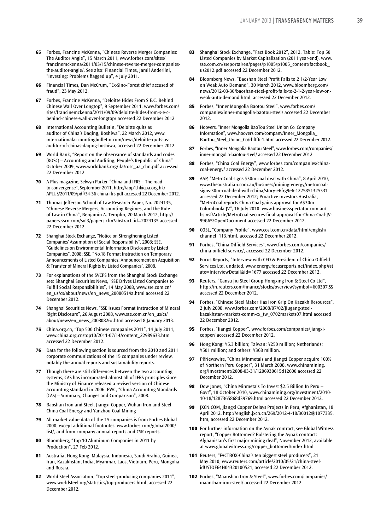- **65** Forbes, Francine McKenna, "Chinese Reverse Merger Companies: The Auditor Angle", 15 March 2011, www.forbes.com/sites/ francinemckenna/2011/03/15/chinese-reverse-merger-companiesthe-auditor-angle/. See also: Financial Times, Jamil Anderlini, "Investing: Problems flagged up", 4 July 2011.
- **66** Financial Times, Dan McCrum, "Ex-Sino-Forest chief accused of fraud", 23 May 2012.
- **67** Forbes, Francine McKenna, "Deloitte Hides From S.E.C. Behind Chinese Wall Over Longtop", 9 September 2011, www.forbes.com/ sites/francinemckenna/2011/09/09/deloitte-hides-from-s-e-cbehind-chinese-wall-over-longtop/ accessed 22 December 2012.
- **68** International Accounting Bulletin, "Deloitte quits as auditor of China's Daqing, Boshiwa", 22 March 2012, www. internationalaccountingbulletin.com/news/deloitte-quits-asauditor-of-chinas-daqing-boshiwa, accessed 22 December 2012.
- **69** World Bank, "Report on the observance of standards and codes (ROSC) – Accounting and Auditing, People's Republic of China" October 2009, www.worldbank.org/ifa/rosc\_aa\_chn.pdf accessed 22 December 2012.
- **70** A Plus magazine, Selwyn Parker, "China and IFRS The road to convergence", September 2011, http://app1.hkicpa.org.hk/ APLUS/2011/09/pdf/34-36-china-ifrs.pdf accessed 22 December 2012.
- **71** Thomas Jefferson School of Law Research Paper, No. 2024135, "Chinese Reverse Mergers, Accounting Regimes, and the Rule of Law in China", Benjamin A. Templin, 20 March 2012, http:// papers.ssrn.com/sol3/papers.cfm?abstract\_id=2024135 accessed 22 December 2012.
- **72** Shanghai Stock Exchange, "Notice on Strengthening Listed Companies' Assumption of Social Responsibility", 2008; SSE, "Guidelines on Environmental Information Disclosure by Listed Companies", 2008; SSE, "No.18 Format Instruction on Temporary Announcements of Listed Companies: Announcement on Acquisition & Transfer of Mineral Rights by Listed Companies", 2008.
- **73** For explanations of the SVCPS from the Shanghai Stock Exchange see: Shanghai Securities News, "SSE Drives Listed Companies to Fulfill Social Responsibilities", 14 May 2008, www.sse.com.cn/ en\_us/cs/about/news/en\_news\_20080514a.html accessed 22 December 2012.
- **74** Shanghai Securities News, "SSE Issues Format Instruction of Mineral Right Disclosure", 26 August 2008, www.sse.com.cn/en\_us/cs/ about/news/en\_news\_20080826c.html accessed 8 January 2013.
- **75** China.org.cn, "Top 500 Chinese companies 2011", 14 July 2011, www.china.org.cn/top10/2011-07/14/content\_22989633.htm accessed 22 December 2012.
- **76** Data for the following section is sourced from the 2010 and 2011 corporate communications of the 15 companies under review, notably the annual reports and sustainability reports.
- **77** Though there are still differences between the two accounting systems, CAS has incorporated almost all of IFRS principles since the Ministry of Finance released a revised version of Chinese accounting standard in 2006. PWC, "China Accounting Standards (CAS) – Summary, Changes and Comparison", 2008.
- **78** Baoshan Iron and Steel, Jiangxi Copper, Wuhan Iron and Steel, China Coal Energy and Yanzhou Coal Mining
- **79** All market value data of the 15 companies is from Forbes Global 2000, except additional footnotes, www.forbes.com/global2000/ list/, and from company annual reports and CSR reports.
- **80** Bloomberg, "Top 10 Aluminum Companies in 2011 by Production", 27 Feb 2012.
- **81** Australia, Hong Kong, Malaysia, Indonesia, Saudi Arabia, Guinea, Iran, Kazakhstan, India, Myanmar, Laos, Vietnam, Peru, Mongolia and Russia.
- **82** World Steel Association, "Top steel-producing companies 2011", www.worldsteel.org/statistics/top-producers.html, accessed 22 December 2012.
- **83** Shanghai Stock Exchange, "Fact Book 2012", 2012, Table: Top 50 Listed Companies by Market Capitalization (2011 year-end), www. sse.com.cn/sseportal/en/pages/p1005/p1005\_content/factbook\_ us2012.pdf accessed 22 December 2012.
- **84** Bloomberg News, "Baoshan Steel Profit Falls to 2 1/2-Year Low on Weak Auto Demand", 30 March 2012, www.bloomberg.com/ news/2012-03-30/baoshan-steel-profit-falls-to-2-1-2-year-low-onweak-auto-demand.html, accessed 22 December 2012.
- **85** Forbes, "Inner Mongolia Baotou Steel", www.forbes.com/ companies/inner-mongolia-baotou-steel/ accessed 22 December 2012.
- **86** Hoovers, "Inner Mongolia BaoTou Steel Union Co. Company Information", www.hoovers.com/company/Inner\_Mongolia\_ BaoTou\_Steel\_Union\_Co/rhftfti-1.html accessed 22 December 2012.
- **87** Forbes, "Inner Mongolia Baotou Steel", www.forbes.com/companies/ inner-mongolia-baotou-steel/ accessed 22 December 2012.
- **88** Forbes, "China Coal Energy", www.forbes.com/companies/chinacoal-energy/ accessed 22 December 2012.
- **89** AAP, "MetroCoal signs \$30m coal deal with China", 8 April 2010, www.theaustralian.com.au/business/mining-energy/metrocoalsigns-30m-coal-deal-with-china/story-e6frg9e6-1225851325331 accessed 22 December 2012; Proactive investors Australia, "MetroCoal reports China Coal gains approval for A\$30m Columboola JV", 16 July 2010, www.businessspectator.com.au/ bs.nsf/Article/MetroCoal-secures-final-approval-for-China-Coal-JV-99G65?OpenDocument accessed 22 December 2012.
- **90** COSL, "Company Profile", www.cosl.com.cn/data/html/english/ channel\_113.html, accessed 22 December 2012.
- **91** Forbes, "China Oilfield Services", www.forbes.com/companies/ china-oilfield-service/, accessed 22 December 2012.
- **92** Focus Reports, "Interview with CEO & President of China Oilfield Services Ltd, undated, www.energy.focusreports.net/index.php#st ate=InterviewDetail&id=1677 accessed 22 December 2012.
- **93** Reuters, "Gansu Jiu Steel Group Hongxing Iron & Steel Co Ltd", http://in.reuters.com/finance/stocks/overview?symbol=600307.SS accessed 22 December 2012.
- **94** Forbes, "Chinese Steel Maker Has Iron Grip On Kazakh Resources", 2 July 2008, www.forbes.com/2008/07/02/jiugang-steelkazakhstan-markets-comm-cx\_tw\_0702markets07.html accessed 22 December 2012.
- **95** Forbes, "Jiangxi Copper", www.forbes.com/companies/jiangxicopper/ accessed 22 December 2012.
- **96** Hong Kong: ¥5.3 billion; Taiwan: ¥250 million; Netherlands: ¥501 million; and others: ¥368 million.
- **97** PRNewswire, "China Minmetals and Jiangxi Copper acquire 100% of Northern Peru Copper", 31 March 2008, www.chinamining. org/Investment/2008-03-31/1206930615d12600 accessed 22 December 2012.
- **98** Dow Jones, "China Minmetals To Invest \$2.5 Billion In Peru Govt", 18 October 2010, www.chinamining.org/Investment/2010- 10-18/1287365868d39769.html accessed 22 December 2012.
- **99** JXCN.COM, Jiangxi Copper Delays Projects in Peru, Afghanistan, 18 April 2012, http://english.jxcn.cn/269/2012-4-18/30012@1077335. htm, accessed 22 December 2012.
- **100** For further information on the Aynak contract, see Global Witness report, "Copper Bottomed? Bolstering the Aynak contract: Afghanistan's first major mining deal", November 2012, available at www.globalwitness.org/copper\_bottomed/index.html
- **101** Reuters, "FACTBOX-China's ten biggest steel producers", 21 May 2010, www.reuters.com/article/2010/05/21/china-steelidUSTOE64H04320100521, accessed 22 December 2012.
- **102** Forbes, "Maanshan Iron & Steel", www.forbes.com/companies/ maanshan-iron-steel/ accessed 22 December 2012.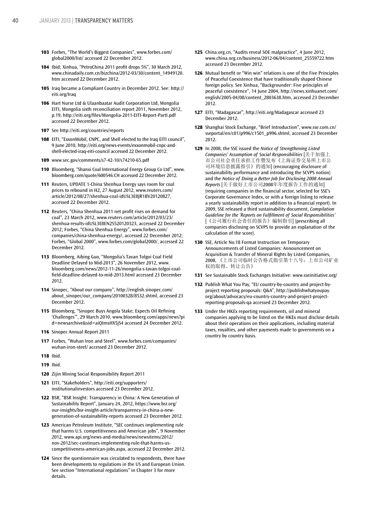- **103** Forbes, "The World's Biggest Companies", www.forbes.com/ global2000/list/ accessed 22 December 2012.
- **104** Ibid; Xinhua, "PetroChina 2011 profit drops 5%", 30 March 2012, www.chinadaily.com.cn/bizchina/2012-03/30/content\_14949120. htm accessed 22 December 2012.
- **105** Iraq became a Compliant Country in December 2012. See: http:// eiti.org/Iraq
- **106** Hart Nurse Ltd & Ulaanbaatar Audit Corporation Ltd, Mongolia EITI, Mongolia sixth reconciliation report 2011, November 2012, p.19, http://eiti.org/files/Mongolia-2011-EITI-Report-PartI.pdf accessed 22 December 2012.
- **107** See http://eiti.org/countries/reports
- **108** EITI, "ExxonMobil, CNPC, and Shell elected to the Iraq EITI council", 9 June 2010, http://eiti.org/news-events/exxonmobil-cnpc-andshell-elected-iraq-eiti-council accessed 22 December 2012.
- **109** www.sec.gov/comments/s7-42-10/s74210-65.pdf
- **110** Bloomberg, "Shanxi Coal International Energy Group Co Ltd", www. bloomberg.com/quote/600546:CH accessed 22 December 2012.
- **111** Reuters, UPDATE 1-China Shenhua Energy says room for coal prices to rebound in H2, 27 August 2012, www.reuters.com/ article/2012/08/27/shenhua-coal-idUSL3E8JR1BV20120827, accessed 22 December 2012.
- **112** Reuters, "China Shenhua 2011 net profit rises on demand for coal", 23 March 2012, www.reuters.com/article/2012/03/23/ shenhua-results-idUSL3E8EN2S520120323, accessed 22 December 2012; Forbes, "China Shenhua Energy", www.forbes.com/ companies/china-shenhua-energy/, accessed 22 December 2012; Forbes, "Global 2000", www.forbes.com/global2000/, accessed 22 December 2012.
- **113** Bloomberg, Aibing Guo, "Mongolia's Tavan Tolgoi Coal Field Deadline Delayed to Mid-2013", 26 November 2012, www. bloomberg.com/news/2012-11-26/mongolia-s-tavan-tolgoi-coalfield-deadline-delayed-to-mid-2013.html accessed 23 December 2012.
- **114** Sinopec, "About our company", http://english.sinopec.com/ about\_sinopec/our\_company/20100328/8532.shtml, accessed 23 December 2012.
- **115** Bloomberg, "Sinopec Buys Angola Stake; Expects Oil Refining 'Challenges'", 29 March 2010, www.bloomberg.com/apps/news?pi d=newsarchive&sid=aiQImsHX5jS4 accessed 24 December 2012.
- **116** Sinopec Annual Report 2011
- **117** Forbes, "Wuhan Iron and Steel", www.forbes.com/companies/ wuhan-iron-steel/ accessed 23 December 2012.
- **118** Ibid.
- **119** Ibid.
- **120** Zijin Mining Social Responsibility Report 2011
- **121** EITI, "Stakeholders", http://eiti.org/supporters/ institutionalinvestors accessed 23 December 2012.
- **122** BSR, "BSR Insight: Transparency in China: A New Generation of Sustainability Report", January 24, 2012, https://www.bsr.org/ our-insights/bsr-insight-article/transparency-in-china-a-newgeneration-of-sustainability-reports accessed 23 December 2012.
- **123** American Petroleum Institute, "SEC continues implementing rule that harms U.S. competitiveness and American jobs", 9 November 2012, www.api.org/news-and-media/news/newsitems/2012/ nov-2012/sec-continues-implementing-rule-that-harms-uscompetitiveness-american-jobs.aspx, accessed 22 December 2012.
- **124** Since the questionnaire was circulated to respondents, there have been developments to regulations in the US and European Union. See section "International regulations" in Chapter 3 for more details.
- **125** China.org.cn, "Audits reveal SOE malpractice", 4 June 2012, www.china.org.cn/business/2012-06/04/content\_25559722.htm accessed 23 December 2012.
- **126** Mutual benefit or "Win win" relations is one of the Five Principles of Peaceful Coexistence that have traditionally shaped Chinese foreign policy. See Xinhua, "Backgrounder: Five principles of peaceful coexistence", 14 June 2004, http://news.xinhuanet.com/ english/2005-04/08/content\_2803638.htm, accessed 23 December 2012.
- **127** EITI, "Madagascar", http://eiti.org/Madagascar accessed 23 December 2012.
- **128** Shanghai Stock Exchange, "Brief Introduction", www.sse.com.cn/ sseportal/en/c01/p996/c1501\_p996.shtml, accessed 23 December 2012.
- **129** In 2008, the SSE issued the *Notice of Strengthening Listed Companies' Assumption of Social Responsibilities* [关于加强上 市公司社会责任承担工作暨发布《上海证券交易所上市公 司环境信息披露指引》的通知] (encouraging disclosure of sustainability performance and introducing the SCVPS notion) and the *Notice of Doing a Better Job for Disclosing 2008 Annual Reports* [关于做好上市公司2008年年度报告工作的通知] (requiring companies in the financial sector, selected for SSE's Corporate Governance Index, or with a foreign listing to release a yearly sustainability report in addition to a financial report). In 2009, SSE released a third sustainability document, *Compilation Guideline for the 'Reports on Fulfillment of Social Responsibilities'* [《公司履行社会责任的报告》编制指引] (prescribing all companies disclosing on SCVPS to provide an explanation of the calculation of the score).
- **130** SSE, Article No.18 Format Instruction on Temporary Announcements of Listed Companies: Announcement on Acquisition & Transfer of Mineral Rights by Listed Companies, 2008, 《上市公司临时公告格式指引第十八号:上市公司矿业 权的取得、转让公告》
- **131** See Sustainable Stock Exchanges Initiative: www.sseinitiative.org/
- **132** Publish What You Pay, "EU country-by-country and project-byproject reporting proposals: Q&A", http://publishwhatyoupay. org/about/advocacy/eu-country-country-and-project-projectreporting-proposals-qa accessed 23 December 2012.
- **133** Under the HKEx reporting requirements, oil and mineral companies applying to be listed on the HKEx must disclose details about their operations on their applications, including material taxes, royalties, and other payments made to governments on a country by country basis.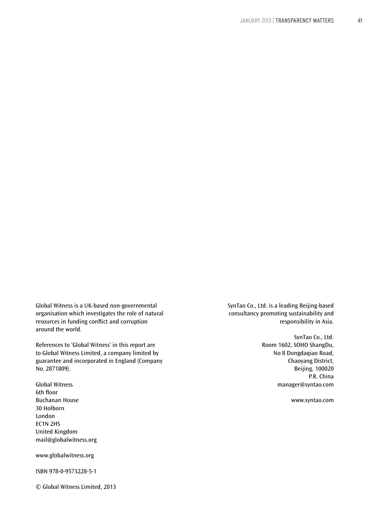Global Witness is a UK-based non-governmental organisation which investigates the role of natural resources in funding conflict and corruption around the world.

References to 'Global Witness' in this report are to Global Witness Limited, a company limited by guarantee and incorporated in England (Company No. 2871809).

Global Witness 6th floor Buchanan House 30 Holborn London EC1N 2HS United Kingdom mail@globalwitness.org

www.globalwitness.org

ISBN 978-0-9573228-5-1

© Global Witness Limited, 2013

SynTao Co., Ltd. is a leading Beijing-based consultancy promoting sustainability and responsibility in Asia.

> SynTao Co., Ltd. Room 1602, SOHO ShangDu, No 8 Dongdaqiao Road, Chaoyang District, Beijing, 100020 P.R. China manager@syntao.com

> > www.syntao.com